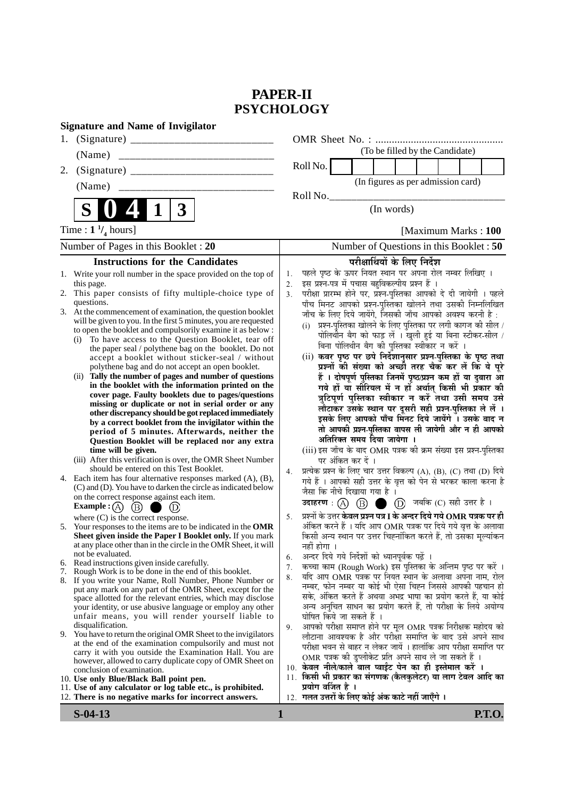## **PAPER-II PSYCHOLOGY**

| <b>Signature and Name of Invigilator</b>                                                                                                                                                                                                                                                                                                                                                                                                                                                                                                                                                                                                                                                                                                                                                                                                                                                                                                                                                                                                                                                                                |                                                                                                                                                                                                                                                                                                                                                                                                                                                                                                                                                                                                                                                                                                                                                                                                                                                                                                                                                                                                                                                                                                                         |
|-------------------------------------------------------------------------------------------------------------------------------------------------------------------------------------------------------------------------------------------------------------------------------------------------------------------------------------------------------------------------------------------------------------------------------------------------------------------------------------------------------------------------------------------------------------------------------------------------------------------------------------------------------------------------------------------------------------------------------------------------------------------------------------------------------------------------------------------------------------------------------------------------------------------------------------------------------------------------------------------------------------------------------------------------------------------------------------------------------------------------|-------------------------------------------------------------------------------------------------------------------------------------------------------------------------------------------------------------------------------------------------------------------------------------------------------------------------------------------------------------------------------------------------------------------------------------------------------------------------------------------------------------------------------------------------------------------------------------------------------------------------------------------------------------------------------------------------------------------------------------------------------------------------------------------------------------------------------------------------------------------------------------------------------------------------------------------------------------------------------------------------------------------------------------------------------------------------------------------------------------------------|
| 1.                                                                                                                                                                                                                                                                                                                                                                                                                                                                                                                                                                                                                                                                                                                                                                                                                                                                                                                                                                                                                                                                                                                      |                                                                                                                                                                                                                                                                                                                                                                                                                                                                                                                                                                                                                                                                                                                                                                                                                                                                                                                                                                                                                                                                                                                         |
| (Name)                                                                                                                                                                                                                                                                                                                                                                                                                                                                                                                                                                                                                                                                                                                                                                                                                                                                                                                                                                                                                                                                                                                  | (To be filled by the Candidate)                                                                                                                                                                                                                                                                                                                                                                                                                                                                                                                                                                                                                                                                                                                                                                                                                                                                                                                                                                                                                                                                                         |
| 2.                                                                                                                                                                                                                                                                                                                                                                                                                                                                                                                                                                                                                                                                                                                                                                                                                                                                                                                                                                                                                                                                                                                      | Roll No.                                                                                                                                                                                                                                                                                                                                                                                                                                                                                                                                                                                                                                                                                                                                                                                                                                                                                                                                                                                                                                                                                                                |
| (Name)                                                                                                                                                                                                                                                                                                                                                                                                                                                                                                                                                                                                                                                                                                                                                                                                                                                                                                                                                                                                                                                                                                                  | (In figures as per admission card)                                                                                                                                                                                                                                                                                                                                                                                                                                                                                                                                                                                                                                                                                                                                                                                                                                                                                                                                                                                                                                                                                      |
|                                                                                                                                                                                                                                                                                                                                                                                                                                                                                                                                                                                                                                                                                                                                                                                                                                                                                                                                                                                                                                                                                                                         | Roll No.                                                                                                                                                                                                                                                                                                                                                                                                                                                                                                                                                                                                                                                                                                                                                                                                                                                                                                                                                                                                                                                                                                                |
| S<br>$\boldsymbol{3}$                                                                                                                                                                                                                                                                                                                                                                                                                                                                                                                                                                                                                                                                                                                                                                                                                                                                                                                                                                                                                                                                                                   | (In words)                                                                                                                                                                                                                                                                                                                                                                                                                                                                                                                                                                                                                                                                                                                                                                                                                                                                                                                                                                                                                                                                                                              |
| Time : $1 \frac{1}{4}$ hours]                                                                                                                                                                                                                                                                                                                                                                                                                                                                                                                                                                                                                                                                                                                                                                                                                                                                                                                                                                                                                                                                                           | [Maximum Marks: 100                                                                                                                                                                                                                                                                                                                                                                                                                                                                                                                                                                                                                                                                                                                                                                                                                                                                                                                                                                                                                                                                                                     |
| Number of Pages in this Booklet : 20                                                                                                                                                                                                                                                                                                                                                                                                                                                                                                                                                                                                                                                                                                                                                                                                                                                                                                                                                                                                                                                                                    | Number of Questions in this Booklet : 50                                                                                                                                                                                                                                                                                                                                                                                                                                                                                                                                                                                                                                                                                                                                                                                                                                                                                                                                                                                                                                                                                |
| <b>Instructions for the Candidates</b>                                                                                                                                                                                                                                                                                                                                                                                                                                                                                                                                                                                                                                                                                                                                                                                                                                                                                                                                                                                                                                                                                  | परीक्षार्थियों के लिए निर्देश                                                                                                                                                                                                                                                                                                                                                                                                                                                                                                                                                                                                                                                                                                                                                                                                                                                                                                                                                                                                                                                                                           |
| 1. Write your roll number in the space provided on the top of<br>this page.<br>This paper consists of fifty multiple-choice type of<br>2.<br>questions.<br>3. At the commencement of examination, the question booklet<br>will be given to you. In the first 5 minutes, you are requested<br>to open the booklet and compulsorily examine it as below :<br>To have access to the Question Booklet, tear off<br>(i)<br>the paper seal / polythene bag on the booklet. Do not<br>accept a booklet without sticker-seal / without<br>polythene bag and do not accept an open booklet.<br>(ii) Tally the number of pages and number of questions<br>in the booklet with the information printed on the<br>cover page. Faulty booklets due to pages/questions<br>missing or duplicate or not in serial order or any<br>other discrepancy should be got replaced immediately<br>by a correct booklet from the invigilator within the<br>period of 5 minutes. Afterwards, neither the<br>Question Booklet will be replaced nor any extra<br>time will be given.<br>(iii) After this verification is over, the OMR Sheet Number | पहले पृष्ठ के ऊपर नियत स्थान पर अपना रोल नम्बर लिखिए ।<br>1.<br>इस प्रश्न-पत्र में पचास बहुविकल्पीय प्रश्न हैं ।<br>2.<br>परीक्षा प्रारम्भ होने पर, प्रश्न-पुस्तिका आपको दे दी जायेगी । पहले<br>3.<br>पाँच मिनट आपको प्रश्न-पुस्तिका खोलने तथा उसकी निम्नलिखित<br>जाँच के लिए दिये जायेंगे, जिसकी जाँच आपको अवश्य करनी है :<br>प्रश्न-पुस्तिका खोलने के लिए पुस्तिका पर लगी कागज की सील /<br>(i)<br>पोलिथीन बैग को फाड़ लें । खुली हुई या बिना स्टीकर-सील /<br>बिना पोलिथीन बैग की पुस्तिका स्वीकार न करें<br>(ii) कवर पृष्ठ पर छपे निर्देशानुसार प्रश्न-पुस्तिका के पृष्ठ तथा<br>प्रश्नों की संख्या को अच्छी तरह चैक कर लें कि ये पूरे<br>हैं । दोषपूर्ण पुस्तिका जिनमें पृष्ठ/प्रश्न कम हों या दुबारा आ<br>गये हों या सीरियल में न हों अर्थात् किसी भी प्रकार की<br>त्रुटिपूर्ण पुस्तिका स्वीकार न करें तथा उसी समय उसे<br>लौटाकर उसके स्थान पर दूसरी सही प्रश्न-पुस्तिका ले लें ।<br>इसके लिए आपको पाँच मिनट दिये जायेंगे । उसके बाद न<br>तो आपकी प्रश्न-पुस्तिका वापस ली जायेगी और न ही आपको<br>अतिरिक्त समय दिया जायेगा ।<br>(iii) इस जाँच के बाद OMR पत्रक की क्रम संख्या इस प्रश्न-पुस्तिका<br>पर अंकित कर दें । |
| should be entered on this Test Booklet.<br>4. Each item has four alternative responses marked (A), (B),<br>(C) and (D). You have to darken the circle as indicated below<br>on the correct response against each item.<br>Example : $(A)$<br>(B)<br>(D)                                                                                                                                                                                                                                                                                                                                                                                                                                                                                                                                                                                                                                                                                                                                                                                                                                                                 | प्रत्येक प्रश्न के लिए चार उत्तर विकल्प (A), (B), (C) तथा (D) दिये<br>4.<br>गये हैं । आपको सही उत्तर के वृत्त को पेन से भरकर काला करना है<br>जैसा कि नीचे दिखाया गया है।<br>$(D)$ जबकि $(C)$ सही उत्तर है।<br>उदाहरण: $(A)$ $(B)$ (<br>and the contract of                                                                                                                                                                                                                                                                                                                                                                                                                                                                                                                                                                                                                                                                                                                                                                                                                                                              |
| where $(C)$ is the correct response.<br>5. Your responses to the items are to be indicated in the OMR<br>Sheet given inside the Paper I Booklet only. If you mark<br>at any place other than in the circle in the OMR Sheet, it will<br>not be evaluated.                                                                                                                                                                                                                                                                                                                                                                                                                                                                                                                                                                                                                                                                                                                                                                                                                                                               | प्रश्नों के उत्तर <b>केवल प्रश्न पत्र I के अन्दर दिये गये OMR पत्रक पर ही</b><br>5.<br>अंकित करने हैं । यदि आप OMR पत्रक पर दिये गये वृत्त के अलावा<br>किसी अन्य स्थान पर उत्तर चिह्नांकित करते हैं, तो उसका मूल्यांकन<br>नही होगा ।                                                                                                                                                                                                                                                                                                                                                                                                                                                                                                                                                                                                                                                                                                                                                                                                                                                                                    |
| 6. Read instructions given inside carefully.<br>7. Rough Work is to be done in the end of this booklet.<br>8. If you write your Name, Roll Number, Phone Number or<br>put any mark on any part of the OMR Sheet, except for the<br>space allotted for the relevant entries, which may disclose<br>your identity, or use abusive language or employ any other<br>unfair means, you will render yourself liable to<br>disqualification.<br>9. You have to return the original OMR Sheet to the invigilators<br>at the end of the examination compulsorily and must not<br>carry it with you outside the Examination Hall. You are<br>however, allowed to carry duplicate copy of OMR Sheet on<br>conclusion of examination.                                                                                                                                                                                                                                                                                                                                                                                               | अन्दर दिये गये निर्देशों को ध्यानपूर्वक पढ़ें ।<br>6.<br>कच्चा काम (Rough Work) इस पुस्तिका के अन्तिम पृष्ठ पर करें ।<br>7.<br>यदि आप OMR पत्रक पर नियत स्थान के अलावा अपना नाम, रोल<br>8.<br>नम्बर, फोन नम्बर या कोई भी ऐसा चिह्न जिससे आपकी पहचान हो<br>सके, अंकित करते हैं अथवा अभद्र भाषा का प्रयोग करते हैं, या कोई<br>अन्य अनुचित साधन का प्रयोग करते हैं, तो परीक्षा के लिये अयोग्य<br>घोषित किये जा सकते हैं ।<br>आपको परीक्षा समाप्त होने पर मूल OMR पत्रक निरीक्षक महोदय को<br>9.<br>लौटाना आवश्यक है और परीक्षा समाप्ति के बाद उसे अपने साथ<br>परीक्षा भवन से बाहर न लेकर जायें । हालांकि आप परीक्षा समाप्ति पर<br>OMR पत्रक की इप्लीकेट प्रति अपने साथ ले जा सकते हैं ।<br>10. केवल नीले/काले बाल प्वाईंट पेन का ही इस्तेमाल करें ।                                                                                                                                                                                                                                                                                                                                                                         |
| 10. Use only Blue/Black Ball point pen.<br>11. Use of any calculator or log table etc., is prohibited.<br>12. There is no negative marks for incorrect answers.                                                                                                                                                                                                                                                                                                                                                                                                                                                                                                                                                                                                                                                                                                                                                                                                                                                                                                                                                         | 11. किसी भी प्रकार का संगणक (कैलकुलेटर) या लाग टेबल आदि का<br>प्रयोग वर्जित है ।<br>12. गलत उत्तरों के लिए कोई अंक काटे नहीं जाएँगे ।                                                                                                                                                                                                                                                                                                                                                                                                                                                                                                                                                                                                                                                                                                                                                                                                                                                                                                                                                                                   |

**S-04-13 1 P.T.O.**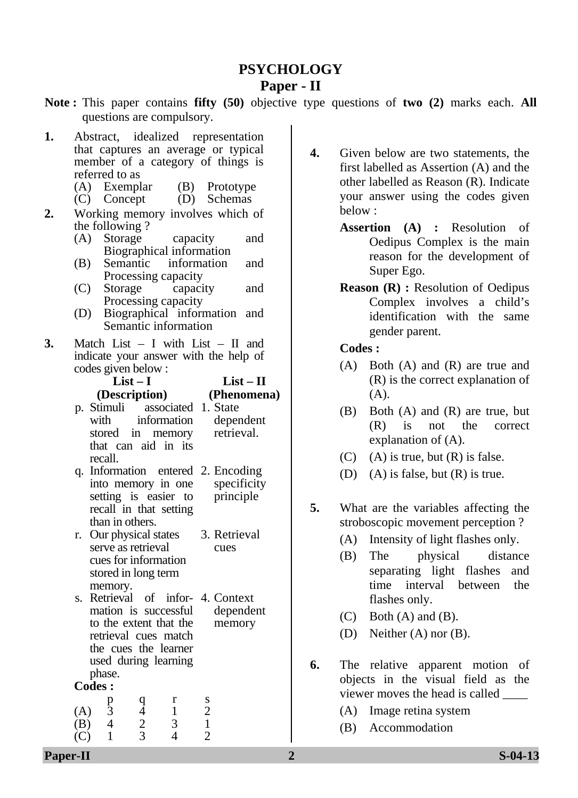# **PSYCHOLOGY**

#### **Paper - II**

**Note :** This paper contains **fifty (50)** objective type questions of **two (2)** marks each. **All** questions are compulsory.

- **1.** Abstract, idealized representation that captures an average or typical member of a category of things is referred to as
	- (A) Exemplar (B) Prototype
	- (C) Concept (D) Schemas
- **2.** Working memory involves which of the following ?
	- (A) Storage capacity and Biographical information
	- (B) Semantic information and Processing capacity
	- (C) Storage capacity and Processing capacity
	- (D) Biographical information and Semantic information
- **3.** Match List I with List II and indicate your answer with the help of codes given below :

| $List-I$      |    |
|---------------|----|
| (Description) | ſ. |

**(Phenomena) List – II** 

- p. that can aid in its retrieval. Stimuli associated 1. State with information stored in memory dependent recall.
- q. 2. Information entered Encoding recall in that setting principle into memory in one setting is easier to than in others. specificity
- r. Our physical states stored in long term 3. Retrieval cues serve as retrieval cues for information memory.
- s. . Retrieval of infor-4 Context used during learning dependent memory mation is successful to the extent that the retrieval cues match the cues the learner phase.

**Codes :**

|     | p | α |   |
|-----|---|---|---|
| (A) |   |   | റ |
| (B) |   |   |   |
| (C) |   |   |   |

- **4.** Given below are two statements, the first labelled as Assertion (A) and the other labelled as Reason (R). Indicate your answer using the codes given below :
	- **Assertion (A) :** Resolution of Oedipus Complex is the main reason for the development of Super Ego.
	- **Reason (R) :** Resolution of Oedipus Complex involves a child's identification with the same gender parent.

- (A) Both (A) and (R) are true and (R) is the correct explanation of (A).
- (B) Both (A) and (R) are true, but (R) is not the correct explanation of (A).
- (C) (A) is true, but  $(R)$  is false.
- (D) (A) is false, but  $(R)$  is true.
- **5.** What are the variables affecting the stroboscopic movement perception ?
	- (A) Intensity of light flashes only.
	- (B) The physical distance separating light flashes and time interval between the flashes only.
	- $(C)$  Both  $(A)$  and  $(B)$ .
	- (D) Neither (A) nor (B).
- **6.** The relative apparent motion of objects in the visual field as the viewer moves the head is called \_\_\_\_
	- (A) Image retina system
	- (B) Accommodation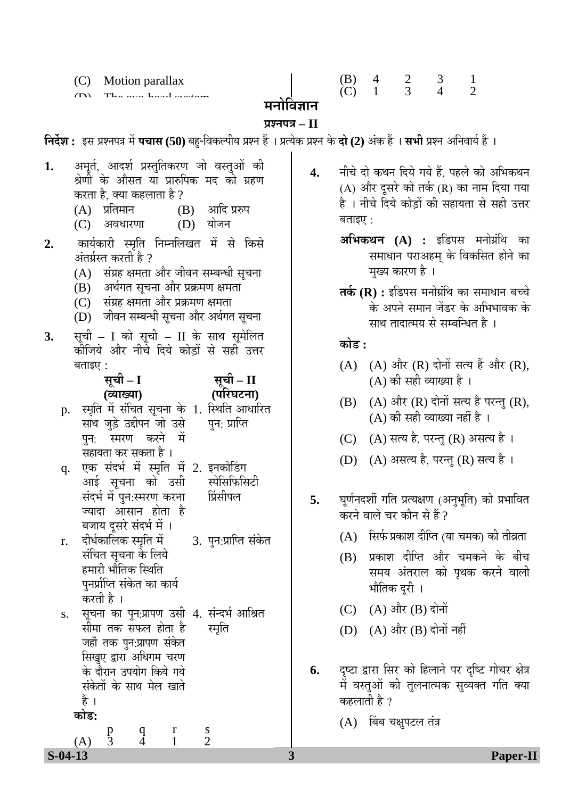(C) Motion parallax

The eye-head system

| (B) |  |  |
|-----|--|--|
| (C) |  |  |

## मनोविज्ञान

#### **¯ÖÏ¿®Ö¯Ö¡Ö – II**

**निर्देश :** इस प्रश्नपत्र में **पचास (50)** बहु-विकल्पीय प्रश्न हैं । प्रत्येक प्रश्न के **दो (2)** अंक हैं । **सभी** प्रश्न अनिवार्य हैं ।

1. अमूर्त, आदर्श प्रस्तुतिकरण जो वस्तुओं की श्रेणी के औसत या प्रारुपिक मद को ग्रहण करता है, क्या कहलाता है ?<br>(A) प्रतिमान (] (B) ञादि प्ररुप<br>(D) योजन  $(C)$  अवधारणा **2.** कार्यकारी स्मृति निम्नलिखत में से किसे अंतर्ग्रस्त करती है ?  $(A)$  संग्रह क्षमता और जीवन सम्बन्धी सूचना (B) अर्थगत सुचना और प्रक्रमण क्षमता  $(C)$   $\vec{R}$  संग्रह क्षमता और प्रक्रमण क्षमता (D) जीवन सम्बन्धी सूचना और अर्थगत सूचना 3. सूची – I को सूची – II के साथ सूमेलित कीजिये और नीचे दिये कोडों से सही उत्तर बताइए $:$ <u>सूची</u> – I **(¾µÖÖܵÖÖ)**  Öसूची – II **(¯Ö׸ü'Ö™ü®ÖÖ)**  p. स्मृति में संचित सूचना के 1. स्थिति आधारित साथ जुड़े उद्दीपन जो उसे पुन: स्मरण करने में सहायता कर सकता है । q. आई सूचना को उसी पुन: प्राप्ति एक संदर्भ में स्मृति में 2. इनकोडिंग संदर्भ मे पुन:स्मरण करना ज्यादा आसान होता ह<del>ै</del> स्पेसिफिसिटी r. संचित सूचना के लिये 3. पुन:प्राप्ति संकेत s. बजाय दूसरे संदर्भ में । दीर्धकालिक स्मृति मे प्रिंसीपल हमारी भौतिक स्थिति पनर्प्राप्ति संकेत का कार्य करती है । सूचना का पुन:प्रापण उसी 4. संन्दर्भ आश्रित सीमा तक सफल होता है<br>जहाँ तक पुन:प्रापण संकेत सिखुए द्वारा अधिगम चरण के दौरान उपयोग किये गये संकेतों के साथ मेल खाते हैं । स्मृति **कोड:** p q r s

(A) 3 4 1 2

- 4. नीचे दो कथन दिये गये हैं. पहले को अभिकथन (A) और दुसरे को तर्क (R) का नाम दिया गया है । नीचे दिये कोडों की सहायता से सही उत्तर बताइए $\cdot$ :
	- **अभिकथन (A) :** इडिपस मनोग्रंथि का समाधान पराअहम् के विकसित होने का मुख्य कारण है ।
	- **तर्क (R) :** इडिपस मनोग्रंथि का समाधान बच्चे के अपने समान जेंडर के अभिभावक के साथ तादात्मय से सम्बन्धित है ।

#### <u>कोड :</u>

- $(A)$   $(A)$  और  $(R)$  दोनों सत्य हैं और  $(R)$ , (A) की सही व्याख्या है ।
- $(B)$   $(A)$  और  $(R)$  दोनों सत्य है परन्तु  $(R)$ , (A) की सही व्याख्या नहीं है ।
- $(C)$   $(A)$  सत्य है, परन्तु  $(R)$  असत्य है ।
- $(D)$   $(A)$  असत्य है, परन्तु  $(R)$  सत्य है ।
- **5.** घूर्णनदर्शी गति प्रत्यक्षण (अनुभूति) को प्रभावित करने वाले चर कौन से हैं ?
	- $(A)$  सिर्फ प्रकाश दीप्ति (या चमक) की तीव्रता
	- (B) प्रकाश दीप्ति और चमकने के बीच समय अंतराल को पृथक करने वाली भौतिक दूरी ।
	- $(C)$   $(A)$  और  $(B)$  दोनों
	- $(D)$   $(A)$  और  $(B)$  दोनों नहीं
- 6. दृष्टा द्वारा सिर को हिलाने पर दृष्टि गोचर क्षेत्र में वस्तुओं की तुलनात्मक सुव्यक्त गति क्या कहलाती है ?
	- $(A)$  बिंब चक्षुपटल तंत्र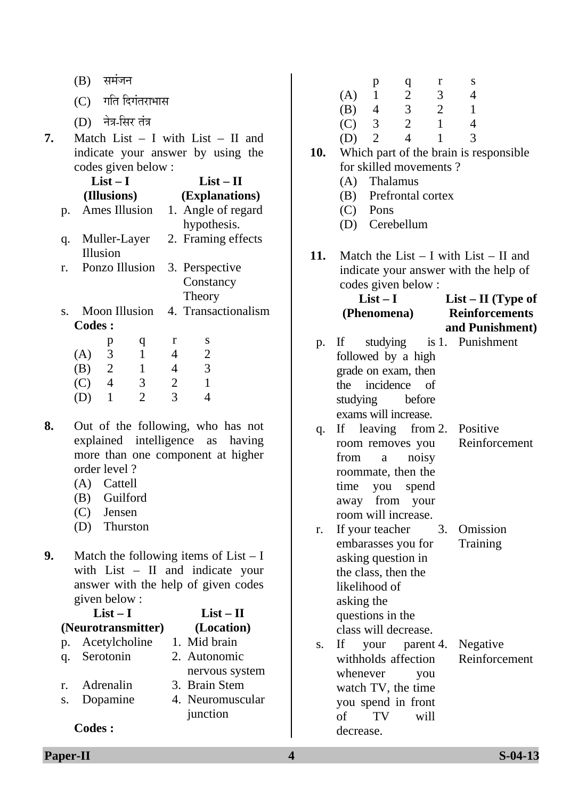|    | समंजन<br>(B)                                                                                                                                    | S<br>r<br>p<br>$\mathbf q$                                                |
|----|-------------------------------------------------------------------------------------------------------------------------------------------------|---------------------------------------------------------------------------|
|    | गति दिगंतराभास<br>(C)                                                                                                                           | $\mathbf{2}$<br>$\mathbf{1}$<br>3<br>$\overline{4}$<br>(A)                |
|    | नेत्र-सिर तंत्र                                                                                                                                 | 3<br>$\overline{2}$<br>(B)<br>$\mathbf{1}$<br>$\overline{4}$              |
|    | (D)                                                                                                                                             | $\overline{2}$<br>$\mathfrak{Z}$<br>$\mathbf{1}$<br>(C)<br>$\overline{4}$ |
| 7. | Match List $-$ I with List $-$ II and                                                                                                           | $\overline{4}$<br>$\mathbf{1}$<br>3<br>$\overline{2}$<br>(D)<br>10.       |
|    | indicate your answer by using the<br>codes given below :                                                                                        | Which part of the brain is responsible.<br>for skilled movements?         |
|    | $List-I$<br>$List - II$                                                                                                                         | Thalamus<br>(A)                                                           |
|    | (Illusions)<br>(Explanations)                                                                                                                   | Prefrontal cortex<br>(B)                                                  |
|    | Ames Illusion<br>1. Angle of regard<br>p.                                                                                                       | Pons<br>(C)                                                               |
|    | hypothesis.                                                                                                                                     | Cerebellum<br>(D)                                                         |
|    | 2. Framing effects<br>Muller-Layer<br>q.                                                                                                        |                                                                           |
|    | Illusion                                                                                                                                        | 11.<br>Match the List $- I$ with List $- II$ and                          |
|    | Ponzo Illusion<br>3. Perspective<br>r.                                                                                                          | indicate your answer with the help of                                     |
|    | Constancy                                                                                                                                       | codes given below :                                                       |
|    | Theory                                                                                                                                          | $List-I$<br>$List - II$ (Type of                                          |
|    | 4. Transactionalism<br><b>Moon Illusion</b><br>S.                                                                                               | <b>Reinforcements</b><br>(Phenomena)                                      |
|    | <b>Codes:</b>                                                                                                                                   | and Punishment)                                                           |
|    | S<br>r<br>p<br>q                                                                                                                                | studying<br>is 1. Punishment<br>If<br>p.                                  |
|    | $\mathfrak{Z}$<br>$\mathbf{2}$<br>$\mathbf{1}$<br>$\overline{4}$<br>(A)                                                                         | followed by a high                                                        |
|    | $\mathfrak{Z}$<br>$\sqrt{2}$<br>$\mathbf{1}$<br>(B)<br>$\overline{4}$                                                                           | grade on exam, then                                                       |
|    | $\overline{c}$<br>$\overline{4}$<br>$\mathfrak{Z}$<br>$\mathbf{1}$<br>(C)<br>$\overline{3}$<br>$\overline{2}$<br>$\overline{4}$<br>$\mathbf{1}$ | incidence<br>of<br>the                                                    |
|    | (D)                                                                                                                                             | studying<br>before                                                        |
| 8. | Out of the following, who has not                                                                                                               | exams will increase.                                                      |
|    | explained intelligence<br>as<br>having                                                                                                          | Positive<br>If leaving from 2.<br>q.<br>Reinforcement                     |
|    | more than one component at higher                                                                                                               | room removes you<br>from<br>noisy                                         |
|    | order level?                                                                                                                                    | $\rm{a}$<br>roommate, then the                                            |
|    | Cattell<br>(A)                                                                                                                                  | time<br>you<br>spend                                                      |
|    | Guilford<br>(B)                                                                                                                                 | away from your                                                            |
|    | (C)<br>Jensen                                                                                                                                   | room will increase.                                                       |
|    | (D)<br>Thurston                                                                                                                                 | 3.<br>If your teacher<br>Omission<br>r.                                   |
|    |                                                                                                                                                 | embarasses you for<br>Training                                            |
| 9. | Match the following items of $List - I$                                                                                                         | asking question in                                                        |
|    | with $List - II$ and indicate your                                                                                                              | the class, then the                                                       |
|    | answer with the help of given codes                                                                                                             | likelihood of                                                             |
|    | given below:                                                                                                                                    | asking the                                                                |
|    | $List-I$<br>$List - II$                                                                                                                         | questions in the                                                          |
|    | (Neurotransmitter)<br>(Location)<br>1. Mid brain                                                                                                | class will decrease.                                                      |
|    | Acetylcholine<br>p.<br>Serotonin<br>2. Autonomic                                                                                                | If<br>Negative<br>your<br>parent 4.<br>S.                                 |
|    | q.<br>nervous system                                                                                                                            | withholds affection<br>Reinforcement                                      |
|    | Adrenalin<br>3. Brain Stem<br>r.                                                                                                                | whenever<br>you                                                           |
|    | Dopamine<br>4. Neuromuscular<br>S.                                                                                                              | watch TV, the time<br>you spend in front                                  |
|    | junction                                                                                                                                        | of<br>TV<br>will                                                          |
|    | <b>Codes:</b>                                                                                                                                   | decrease.                                                                 |
|    |                                                                                                                                                 |                                                                           |

**Paper-II** S-04-13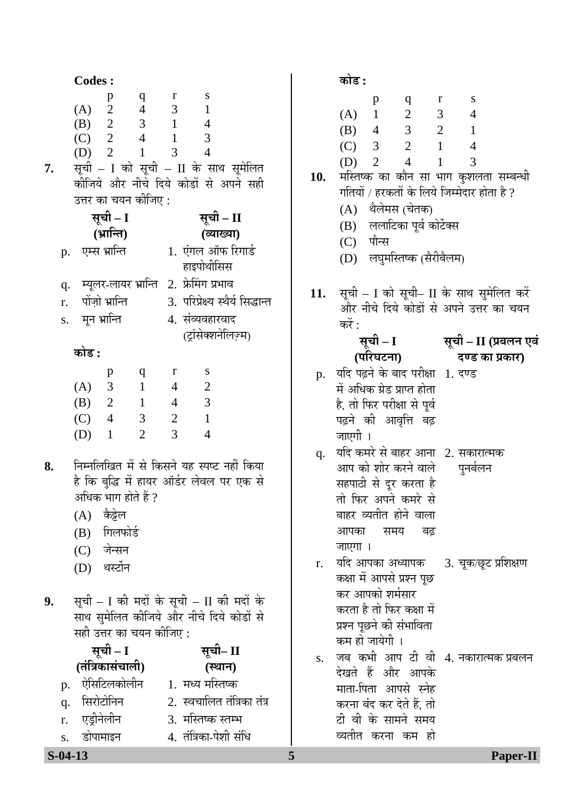|    |                | <b>Codes:</b>           |                                                              |                                                                              |                                                                           |                                                                                                                                             |     | कोड :                                                                     |
|----|----------------|-------------------------|--------------------------------------------------------------|------------------------------------------------------------------------------|---------------------------------------------------------------------------|---------------------------------------------------------------------------------------------------------------------------------------------|-----|---------------------------------------------------------------------------|
| 7. |                | (A) 2<br>$(D)$ 2        | p<br>(B) 2<br>$(C)$ 2 4<br>उत्तर का चयन कीजिए :              | $\mathbf q$<br>$\overline{4}$<br>3 <sup>7</sup><br>$\mathbf{1}$              | r<br>$\mathfrak{Z}$<br>$\overline{1}$<br>$\mathbf{1}$<br>3                | S<br>$\mathbf{1}$<br>$\overline{4}$<br>3<br>$\overline{4}$<br>सूची - I को सूची - II के साथ सूमेलित<br>कीजिये और नीचे दिये कोडों से अपने सही | 10. | (A)<br>(B)<br>(C)<br>(D)<br>मस्तिष्व<br>गतियों ,                          |
|    |                |                         | सूची - I                                                     |                                                                              |                                                                           | सूची - II                                                                                                                                   |     | (A)<br>(B)                                                                |
|    |                |                         | (भ्रान्ति)<br>p. एम्स भ्रान्ति                               |                                                                              |                                                                           | (व्याख्या)<br>1. एंगल ऑफ रिगार्ड<br>हाइपोथीसिस                                                                                              |     | (C)<br>(D)                                                                |
|    | q.<br>r.<br>S. | मून भ्रान्ति            | पोंज़ो भ्रान्ति                                              |                                                                              |                                                                           | म्यूलर-लायर भ्रान्ति 2. फ्रेमिंग प्रभाव<br>3. परिप्रेक्ष्य स्थैर्य सिद्धान्त<br>4. संव्यवहारवाद<br>(ट्रांसेक्शनेलिज़्म)                     | 11. | सूची –<br>और नी<br>करें :                                                 |
|    |                | कोड :                   |                                                              |                                                                              |                                                                           |                                                                                                                                             |     | सू<br>पा                                                                  |
|    |                | (A)<br>(B) 2<br>$(C)$ 4 | p<br>$\mathfrak{Z}$                                          | $\mathbf{q}$<br>$\mathbf{1}$<br>$\sim$ 1<br>3 <sup>7</sup><br>$\overline{2}$ | r<br>$\overline{4}$<br>$\overline{4}$<br>$\overline{2}$<br>$\overline{3}$ | ${\bf S}$<br>$\boldsymbol{2}$<br>$\overline{\phantom{a}}$<br>$\mathbf{1}$<br>$\overline{4}$                                                 | p.  | यदि पढ़<br>में अधिव<br>है, तो पि<br>पढ़ने व                               |
| 8. |                | $(D)$ 1<br>(A)          | अधिक भाग होते हैं ?<br>कैट्टेल<br>(B) गिलफोर्ड<br>(C) जेन्सन |                                                                              |                                                                           | निम्नलिखित में से किसने यह स्पष्ट नहीं किया<br>है कि बुद्धि में हायर ऑर्डर लेवल पर एक से                                                    | q.  | जाएगी<br>यदि कम<br>आप को<br>सहपाठी<br>तो फिर<br>बाहर व्य<br>आपका<br>जाएगा |
|    |                |                         | (D) थर्स्टोन                                                 |                                                                              |                                                                           |                                                                                                                                             | r.  | यदि आ<br>कक्षा में                                                        |
| 9. |                |                         | सही उत्तर का चयन कीजिए :<br>सूची - I<br>(तंत्रिकासंचाली)     |                                                                              |                                                                           | सूची - I की मदों के सूची - II की मदों के<br>साथ सुमेलित कीजिये और नीचे दिये कोडों से<br>सूची– II<br>(स्थान)                                 | S.  | कर आप<br>करता है<br>प्रश्न पूछ<br>कम हो ग<br>जब क                         |
|    | p.<br>q.<br>r. |                         | ऐसिटिलकोलीन<br>सिरोटोनिन<br>एड्रीनेलीन                       |                                                                              |                                                                           | 1. मध्य मस्तिष्क<br>2. स्वचालित तंत्रिका तंत्र<br>3. मस्तिष्क स्तम्भ                                                                        |     | देखते है<br>माता-पि<br>करना बं<br>टी वी '<br>व्यतीत                       |
|    | S.             |                         | डोपामाइन                                                     |                                                                              |                                                                           | 4. तंत्रिका-पेशी संधि                                                                                                                       |     |                                                                           |

|     | р | a | r | S |
|-----|---|---|---|---|
| (A) |   | 2 | 3 |   |
| (B) | 4 | 3 | 2 |   |
| (C) | 3 | 2 |   |   |
| (D) |   | 4 |   | 3 |

- ष्क का कौन सा भाग कुशलता सम्बन्धी  $\check{\mathsf{I}}$  / हरकतों के लिये जिम्मेदार होता है ?
	- थैलेमस (चेतक)
	- ललाटिका पूर्व कोर्टेक्स
	- पौन्स
	- लघुमस्तिष्क (सैरीबैलम)
- $-$  I को सूची– II के साथ सुमेलित करें नीचे दिये कोडों से अपने उत्तर का चयन

 $\overline{\mathbf{F}}$ ची – I **(¯Ö׸ü'Ö™ü®ÖÖ)** 

## सूची – II (प्रबलन एवं दण्ड का प्रकार)

- यदि पढ़ने के बाद परीक्षा 1. दण्ड <sup>धक ग्रेड प्राप्त होता</sup> फिर परीक्षा से पूर्व को आवृत्ति बढ़ जाएगी ।
- q. यदि कमरे से बाहर आना 2. सकारात्मक को शोर करने वाल<mark>े</mark><br>ग्री से दूर करता है  $\bar{\mathbf{x}}$  अपने कमरे से व्यतीत होने वाला ग समय बढ<del>़</del> पुनर्बलन  $\mathbf{I}$
- गपका अध्यापक में आपसे प्रश्न पूछ iापको शर्मसार है तो फिर कक्षा में ।छने की संभाविता कम हो जायेगी । 3. चूक⁄छूट प्रशिक्षण
- s. जब कभी आप टी वी 4. नकारात्मक प्रबलन हैं और आपके पेता आपसे स्नेह बंद कर देते हैं, तो के सामने समय करना कम हो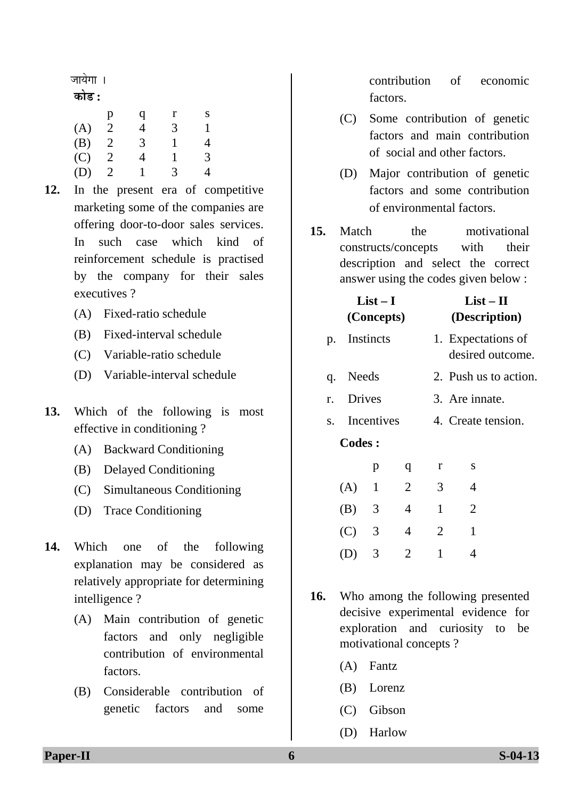जायेगा ।

#### <u>कोड़ :</u>

|     | p | q | r | S |
|-----|---|---|---|---|
| (A) | 2 | 4 | 3 | 1 |
| (B) | 2 | 3 | 1 | 4 |
| (C) | 2 | 4 | 1 | 3 |
| (D) | 2 |   | 3 | 4 |

- **12.** In the present era of competitive marketing some of the companies are offering door-to-door sales services. In such case which kind of reinforcement schedule is practised by the company for their sales executives ?
	- (A) Fixed-ratio schedule
	- (B) Fixed-interval schedule
	- (C) Variable-ratio schedule
	- (D) Variable-interval schedule
- **13.** Which of the following is most effective in conditioning ?
	- (A) Backward Conditioning
	- (B) Delayed Conditioning
	- (C) Simultaneous Conditioning
	- (D) Trace Conditioning
- **14.** Which one of the following explanation may be considered as relatively appropriate for determining intelligence ?
	- $(A)$  Main contribution of genetic factors and only negligible contribution of environmental factors.
	- (B) Considerable contribution of genetic factors and some

contribution of economic factors.

- (C) Some contribution of genetic factors and main contribution of social and other factors.
- (D) Major contribution of genetic factors and some contribution of environmental factors.

**15.** Match the motivational constructs/concepts with their description and select the correct answer using the codes given below :

| List – I<br>(Concepts) |               |   |   |                    | $List-II$<br>(Description) |                                        |
|------------------------|---------------|---|---|--------------------|----------------------------|----------------------------------------|
| p.                     | Instincts     |   |   |                    |                            | 1. Expectations of<br>desired outcome. |
| q.                     | Needs         |   |   |                    |                            | 2. Push us to action.                  |
| r.                     | <b>Drives</b> |   |   | 3. Are innate.     |                            |                                        |
| S.                     | Incentives    |   |   | 4. Create tension. |                            |                                        |
|                        | <b>Codes:</b> |   |   |                    |                            |                                        |
|                        |               | p | q | r                  | S                          |                                        |
|                        | (A)           | 1 | 2 | 3                  | 4                          |                                        |
|                        | (B)           | 3 | 4 | $\mathbf{1}$       | $\overline{2}$             |                                        |
|                        | (C)           | 3 | 4 | 2                  | $\mathbf{1}$               |                                        |
|                        |               | 3 | 2 | $\mathbf{1}$       | 4                          |                                        |
|                        |               |   |   |                    |                            |                                        |

**16.** Who among the following presented decisive experimental evidence for exploration and curiosity to be motivational concepts ?

- (A) Fantz
- (B) Lorenz
- (C) Gibson
- (D) Harlow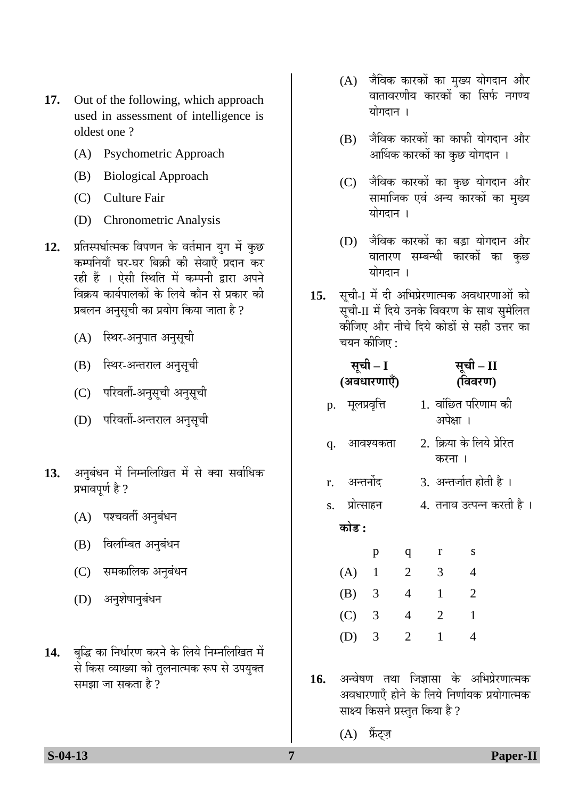- **17.** Out of the following, which approach used in assessment of intelligence is oldest one ?
	- (A) Psychometric Approach
	- (B) Biological Approach
	- (C) Culture Fair
	- (D) Chronometric Analysis
- 12. प्रतिस्पर्धात्मक विपणन के वर्तमान युग में कुछ कम्पनियाँ घर-घर बिक्री की सेवाएँ प्रदान कर रही हैं । ऐसी स्थिति में कम्पनी द्वारा अपने विक्रय कार्यपालकों के लिये कौन से प्रकार की प्रबलन अनसची का प्रयोग किया जाता है ?
	- (A) स्थिर-अनुपात अनुसूची
	- (B) स्थिर-अन्तराल अनुसूची
	- (C) परिवर्ती-अनुसूची अनुसूची
	- (D) परिवर्ती-अन्तराल अनुसूची
- 13. अनुबंधन में निम्नलिखित में से क्या सर्वाधिक प्रभावपूर्ण है ?
	- $(A)$  पश्चवर्ती अनुबंधन
	- $(B)$  विलम्बित अनुबंधन
	- (C) समकालिक अनुबंधन
	- (D) अनुशेषानुबंधन
- 14. बुद्धि का निर्धारण करने के लिये निम्नलिखित में से किस व्याख्या को तुलनात्मक रूप से उपयुक्त समझा जा सकता है ?
- $(A)$  जैविक कारकों का मुख्य योगदान और वातावरणीय कारको<sup>ँ</sup>का सिर्फ नगण्य योगदान ।
- $(B)$  जैविक कारकों का काफी योगदान और आर्थिक कारकों का कुछ योगदान ।
- (C) जैविक कारकों का कुछ योगदान और सामाजिक एवं अन्य कारकों का मुख्य योगदान ।
- (D) जैविक कारकों का बड़ा योगदान और वातारण सम्बन्धी कारकों का कुछ योगदान ।
- 15. सूची-I में दी अभिप्रेरणात्मक अवधारणाओं को सूची-II में दिये उनके विवरण के साथ सुमेलित कीजिए और नीचे दिये कोडों से सही उत्तर का चयन कीजिए  $\cdot$

| सूची – I<br>(अवधारणाएँ) |    |                 |                          |                |           | सूची – II<br>(विवरण)       |
|-------------------------|----|-----------------|--------------------------|----------------|-----------|----------------------------|
|                         |    | p. मूलप्रवृत्ति |                          |                | अपेक्षा । | 1.  वांछित परिणाम की       |
|                         | q. | आवश्यकता        |                          |                | करना ।    | 2. क्रिया के लिये प्रेरित  |
|                         |    | r. अन्तर्नोद    |                          |                |           | 3. अन्तर्जात होती है ।     |
|                         |    | s. प्रोत्साहन   |                          |                |           | 4.  तनाव उत्पन्न करती है । |
|                         |    | कोड :           |                          |                |           |                            |
|                         |    |                 | p                        | q              | r         | S                          |
|                         |    | (A)             | $\overline{\phantom{0}}$ | $\overline{2}$ | 3         | 4                          |
|                         |    | $(B)$ 3         |                          | 4              | 1         | $\overline{2}$             |
|                         |    | (C)             | 3                        | 4              | 2         | $\mathbf{1}$               |
|                         |    | (D)             | 3                        | $\overline{2}$ | 1         | $\overline{4}$             |

- 1**6.** अन्वेषण तथा जिज्ञासा के अभिप्रेरणात्मक अवधारणाएँ होने के लिये निर्णायक प्रयोगात्मक साक्ष्य किसने प्रस्तुत किया है ?
	- $(A)$  फ्रैट्ज़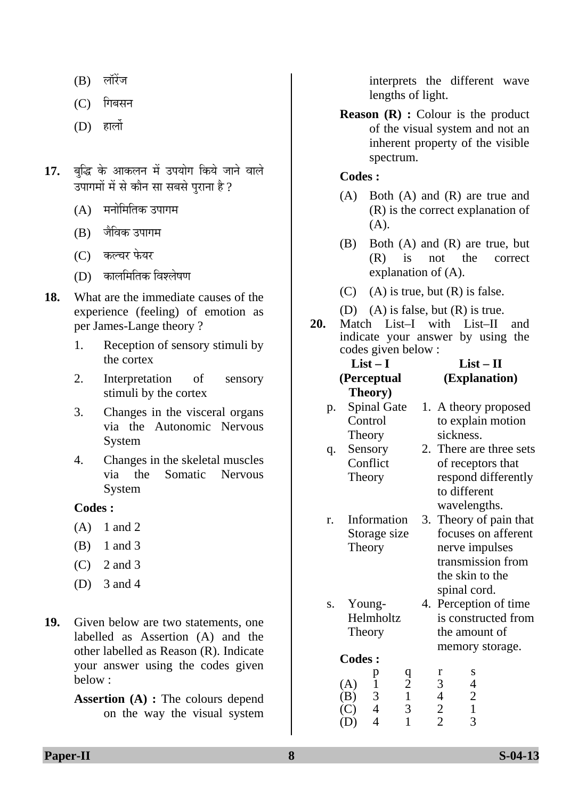- $(B)$  लॉरेंज
- $(C)$  गिबसन
- $(D)$  हार्लो
- 17. बुद्धि के आकलन में उपयोग किये जाने वाले उपागमों में से कौन सा सबसे पुराना है ?
	- $(A)$  पनोमितिक उपागम
	- (B) जैविक उपागम
	- $(C)$  कल्चर फेयर
	- $(D)$  कालमितिक विश्लेषण
- **18.** What are the immediate causes of the experience (feeling) of emotion as per James-Lange theory ?
	- 1. Reception of sensory stimuli by the cortex
	- 2. Interpretation of sensory stimuli by the cortex
	- 3. Changes in the visceral organs via the Autonomic Nervous System
	- 4. Changes in the skeletal muscles via the Somatic Nervous System

- $(A)$  1 and 2
- (B) 1 and 3
- (C) 2 and 3
- (D) 3 and 4
- **19.** Given below are two statements, one labelled as Assertion (A) and the other labelled as Reason (R). Indicate your answer using the codes given below :

**Assertion (A) :** The colours depend on the way the visual system

interprets the different wave lengths of light.

**Reason (R) :** Colour is the product of the visual system and not an inherent property of the visible spectrum.

#### **Codes :**

- (A) Both (A) and (R) are true and (R) is the correct explanation of  $(A).$
- (B) Both (A) and (R) are true, but (R) is not the correct explanation of (A).
- (C) (A) is true, but  $(R)$  is false.
- (D) (A) is false, but  $(R)$  is true.
- **20.** Match List–I with List–II and indicate your answer by using the codes giv en bel ow :

| $List-I$ |                    |                     | $List-II$         |  |                                                       |                         |
|----------|--------------------|---------------------|-------------------|--|-------------------------------------------------------|-------------------------|
|          | (Perceptual        |                     |                   |  |                                                       | (Explanation)           |
|          | Theory)            |                     |                   |  |                                                       |                         |
| p.       | <b>Spinal Gate</b> |                     |                   |  |                                                       | 1. A theory proposed    |
|          | Control            |                     |                   |  |                                                       | to explain motion       |
|          | Theory             |                     |                   |  | sickness.                                             |                         |
| q.       | Sensory            |                     |                   |  |                                                       | 2. There are three sets |
|          | Conflict           |                     |                   |  |                                                       | of receptors that       |
|          | Theory             |                     |                   |  |                                                       | respond differently     |
|          |                    |                     |                   |  | to different                                          |                         |
|          |                    |                     |                   |  | wavelengths.                                          |                         |
| r.       | Information        |                     |                   |  |                                                       | 3. Theory of pain that  |
|          | Storage size       |                     |                   |  |                                                       | focuses on afferent     |
|          | Theory             |                     |                   |  | nerve impulses                                        |                         |
|          |                    |                     |                   |  |                                                       | transmission from       |
|          |                    |                     |                   |  | the skin to the                                       |                         |
|          |                    |                     |                   |  | spinal cord.                                          |                         |
| S.       | Young-             |                     |                   |  |                                                       | 4. Perception of time   |
|          | Helmholtz          |                     |                   |  |                                                       | is constructed from     |
|          | Theory             |                     |                   |  | the amount of                                         |                         |
|          |                    |                     |                   |  |                                                       | memory storage.         |
|          | <b>Codes:</b>      |                     |                   |  |                                                       |                         |
|          |                    | p                   | q                 |  | r<br>S                                                |                         |
|          | (A)                | $\mathbf{1}$        | $\mathbf{2}$      |  | $\overline{4}$<br>3                                   |                         |
|          | (B)<br>(C)         | 3<br>$\overline{4}$ | $\mathbf{1}$<br>3 |  | $\overline{c}$<br>4<br>$\mathbf{1}$<br>$\overline{2}$ |                         |
|          |                    |                     |                   |  |                                                       |                         |

(D) 4 1 2 3

**Paper-II** S-04-13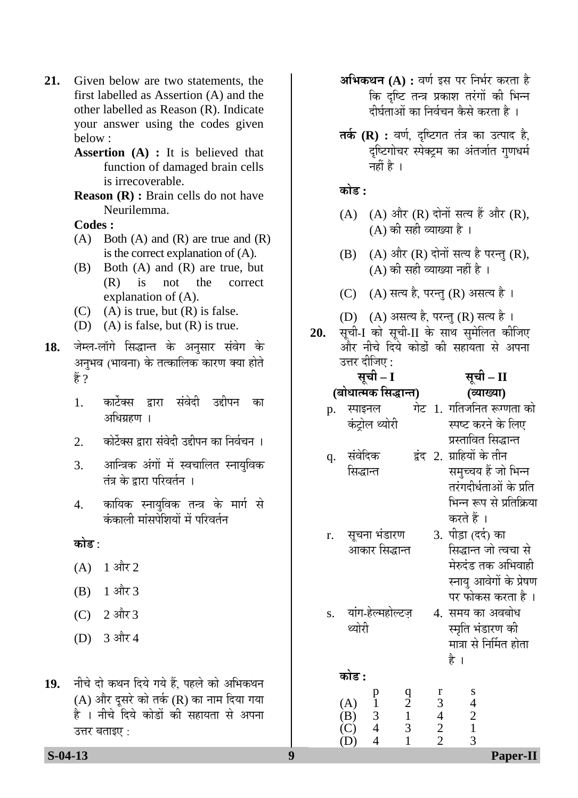- **21.** Given below are two statements, the first labelled as Assertion (A) and the other labelled as Reason (R). Indicate your answer using the codes given below :
	- **Assertion (A) :** It is believed that function of damaged brain cells is irrecoverable.
	- **Reason (R) :** Brain cells do not have Neurilemma.

- (A) Both (A) and (R) are true and (R) is the correct explanation of (A).
- (B) Both (A) and (R) are true, but (R) is not the correct explanation of (A).
- $(C)$  (A) is true, but  $(R)$  is false.
- (D) (A) is false, but  $(R)$  is true.
- 1**8.** जेम्ल-लॉगे सिद्धान्त के अनुसार संवेग के अनुभव (भावना) के तत्कालिक कारण क्या होते हैं ?
	- 1. कार्टेक्स द्रारा संवेदी उद्दीपन का अधिग्रहण ।
	- 2. ♦ कोर्टेक्स द्रारा संवेदी उद्दीपन का निर्वचन ।
	- 3. आन्त्रिक अंगों में स्वचालित स्नायुविक तंत्र के द्रारा परिवर्तन**ः**
	- 4. कायिक स्नायविक तन्त्र के मार्ग से .<br>कंकाली मांसपेशियों में परिवर्तन

<u>कोड :</u>

- $(A)$  1 और 2
- $(B)$  1 और 3
- $(C)$  2 और 3
- $(D)$  3 और 4
- 19. नीचे दो कथन दिये गये हैं. पहले को अभिकथन (A) और दुसरे को तर्क (R) का नाम दिया गया हे । नीचे दिये कोडों की सहायता से अपना उत्तर बताइए $\,$  :
- **अभिकथन (A) :** वर्ण इस पर निर्भर करता है कि दृष्टि तन्त्र प्रकाश तरंगों की भिन्न दीर्घताओं का निर्वचन कैसे करता है ।
- **तर्क (R) :** वर्ण, दृष्टिगत तंत्र का उत्पाद है, दृष्टिगोचर स्पेक्ट्रम का अंतर्जात गुणधर्म नहीं है $\perp$

<u>कोड :</u>

- $(A)$   $(A)$  और  $(R)$  दोनों सत्य हैं और  $(R)$ ,  $(A)$  की सही व्याख्या है।
- $(B)$   $(A)$  और  $(R)$  दोनों सत्य है परन्तु  $(R)$ ,  $(A)$  की सही व्याख्या नहीं है ।
- (C)  $(A)$  सत्य है, परन्तु (R) असत्य है।
- (D)  $(A)$  असत्य है, परन्तु (R) सत्य है।
- 20. सृची-I को सृची-II के साथ सुमेलित कीजिए और नीचे दिये कोर्डो की सहायता से अपना उत्तर दीजिए :

<u>सची – I</u> **(²ÖÖê¬ÖÖŸ´ÖÛú ×ÃÖ¨üÖ®ŸÖ) ¾µÖÖܵÖÖ)**  p. स्पाइनल <u>सची – II</u> **(**

- गेट 1. गतिजनित रूग्णता को ×»Ö‹ ÛÓú™ÒüÖê»Ö £µÖÖê¸üß ïÖ™ü Ûú¸ü®Öê Ûêú प्रस्तावित सि<mark>द्धान्त</mark>
- q. संवेदिक द्वंद 2. ग्राहियों के तीन ×ÃÖ¨üÖ®ŸÖ ÃÖ´Öã""ÖµÖ Æïü •ÖÖê ׳֮®Ö तरंगदीर्धताओं के प्रति
- r. सूचना भंडारण आकार सिद्धान्त
- s. यांग-हेल्महोल्टज थ्योरी
- सिद्धान्त जो त्वचा से पर फोकस करता है । 3. पीड़ा (दर्द) का मेरुदंड तक अभिवाही स्नायु आवेगों के प्रेषण

करते हैं ।

भिन्न रूप से प्रतिक्रिया

4) समय का अवबोध स्मति भंडारण की मात्रा से निर्मित होता है ।

## **कोड** : p q r s

(A)  $\begin{array}{cccc} p & q & r & s \\ 1 & 2 & 3 & 4 \\ (B) & 3 & 1 & 4 & 2 \end{array}$  (B) 3 1 4 2  $\begin{array}{cccc} \text{(C)} & 4 & 3 & 2 & 1 \\ \text{(D)} & 4 & 1 & 2 & 3 \end{array}$ (D) 4 1 2 3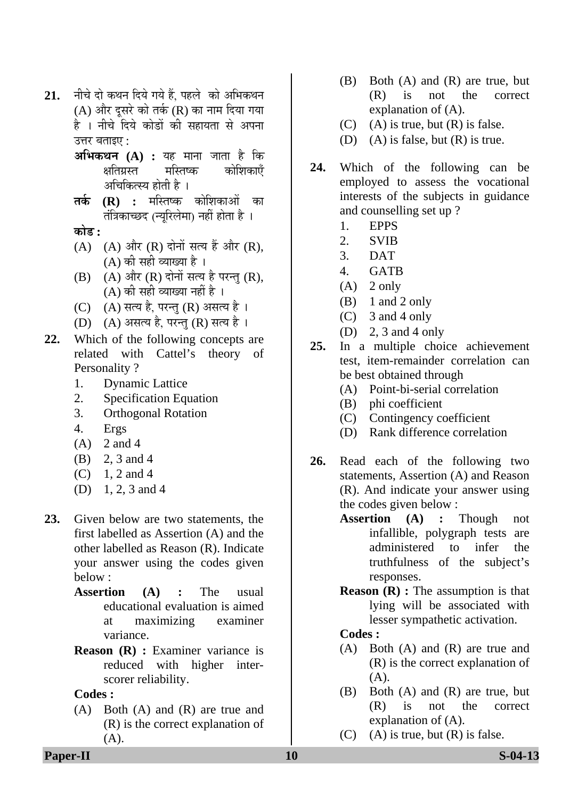- 21. नीचे दो कथन दिये गये हैं. पहले को अभिकथन  $(A)$  और दुसरे को तर्क (R) का नाम दिया गया है । नीचे दिये कोडों की सहायता से अपना उत्तर बताइए $\cdot$ 
	- **†×³ÖÛú£Ö®Ö (A) :** µÖÆü ´ÖÖ®ÖÖ •ÖÖŸÖÖ Æîü ×Ûú कोशिकाएँ अचिकित्स्य होती है ।
	- **तर्क (R) :** मस्तिष्क कोशिकाओं का  $\vec{a}$ त्रिकाच्छद (न्युरिलेमा) नहीं होता है ।
	- <u>कोड़ :</u>
	- (A)  $(A)$  और  $(R)$  दोनों सत्य हैं और  $(R)$ ,  $(A)$  की सही व्याख्या है ।
	- $(B)$   $(A)$  और  $(R)$  दोनों सत्य है परन्तु  $(R)$ ,  $(A)$  की सही व्याख्या नहीं है ।
	- $(C)$   $(A)$  सत्य है, परन्तु  $(R)$  असत्य है ।
	- (D) (A) असत्य है, परन्तु (R) सत्य है।
- **22.** Which of the following concepts are related with Cattel's theory of Personality ?
	- 1. Dynamic Lattice
	- 2. Specification Equation
	- 3. Orthogonal Rotation
	- 4. Ergs
	- $(A)$  2 and 4
	- (B) 2, 3 and 4
	- $(C)$  1, 2 and 4
	- (D) 1, 2, 3 and 4
- **23.** Given below are two statements, the first labelled as Assertion (A) and the other labelled as Reason (R). Indicate your answer using the codes given below :
	- **Assertion (A) :** The usual educational evaluation is aimed at maximizing examiner variance.
	- **Reason (R) :** Examiner variance is reduced with higher interscorer reliability.

 (A) Both (A) and (R) are true and (R) is the correct explanation of (A).

- (B) Both (A) and (R) are true, but (R) is not the correct explanation of (A).
- $(C)$  (A) is true, but  $(R)$  is false.
- (D) (A) is false, but (R) is true.
- **24.** Which of the following can be employed to assess the vocational interests of the subjects in guidance and counselling set up ?
	- 1. EPPS
	- 2. SVIB
	- 3. DAT
	- 4. GATB
	- $(A)$  2 only
	- $(B)$  1 and 2 only
	- (C) 3 and 4 only
	- (D) 2, 3 and 4 only
- **25.** In a multiple choice achievement test, item-remainder correlation can be best obtained through
	- (A) Point-bi-serial correlation
	- $(B)$  phi coefficient
	- (C) Contingency coefficient
	- (D) Rank difference correlation
- **26.** Read each of the following two statements, Assertion (A) and Reason (R). And indicate your answer using the codes given below :
	- **Assertion (A) :** Though not infallible, polygraph tests are administered to infer the truthfulness of the subject's responses.
	- **Reason (R) :** The assumption is that lying will be associated with lesser sympathetic activation.

- (A) Both (A) and (R) are true and (R) is the correct explanation of (A).
- (B) Both (A) and (R) are true, but (R) is not the correct explanation of (A).
- $(C)$  (A) is true, but  $(R)$  is false.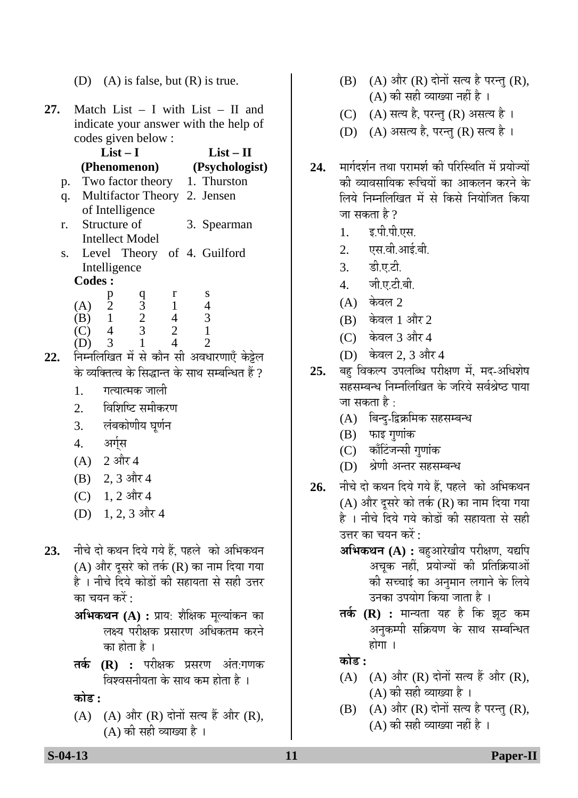|  | (D) (A) is false, but $(R)$ is true. |
|--|--------------------------------------|
|--|--------------------------------------|

**27.** Match List – I with List – II and indicate your answer with the help of codes given below :

|     |                | $List-I$                     |   | $List - II$                    |
|-----|----------------|------------------------------|---|--------------------------------|
|     |                | (Phenomenon)                 |   | (Psychologist)                 |
| p.  |                |                              |   | Two factor theory 1. Thurston  |
| q.  |                | Multifactor Theory 2. Jensen |   |                                |
|     |                | of Intelligence              |   |                                |
| r.  | Structure of   |                              |   | 3. Spearman                    |
|     |                | Intellect Model              |   |                                |
|     |                |                              |   | s. Level Theory of 4. Guilford |
|     | Intelligence   |                              |   |                                |
|     | <b>Codes:</b>  |                              |   |                                |
|     | р              |                              | r | S                              |
| (A) | $\overline{2}$ | $\frac{q}{3}$                |   |                                |
|     | $\overline{1}$ | $\overline{2}$               |   | 3                              |
|     |                | 3                            |   |                                |

- $(D)$  3 1 4 2 22. निम्नलिखित में से कौन सी अवधारणाएँ केट्टेल के व्यक्तित्व के सिद्धान्त के साथ सम्बन्धित हैं ?
	- 1. गत्यात्मक जाली
	- 2. विशिष्टि समीकरण
	- 3. लंबकोणीय घूर्णन
	- 4. अर्गस
	- $(A)$  2 और 4
	- $(B)$  2, 3 और 4
	- (C)  $1, 2$  और 4
	- $(D)$  1, 2, 3 और 4
- 23. नीचे दो कथन दिये गये हैं. पहले को अभिकथन (A) और दूसरे को तर्क (R) का नाम दिया गया है । नीचे दिये कोडों की सहायता से सही उत्तर का चयन करें :
	- **अभिकथन (A) :** प्राय: शैक्षिक मूल्यांकन का लक्ष्य परीक्षक प्रसारण अधिकतम करने का होता है ।
	- **तर्क (R) :** परीक्षक प्रसरण अंत:गणक विश्वसनीयता के साथ कम होता है ।

<u>कोड :</u>

 $(A)$   $(A)$  और  $(R)$  दोनों सत्य हैं और  $(R)$ , (A) की सही व्याख्या है ।

- $(B)$   $(A)$  और  $(R)$  दोनों सत्य है परन्तु  $(R)$ ,  $(A)$  की सही व्याख्या नहीं है ।
- (C) (A) सत्य है, परन्तु (R) असत्य है।
- (D) (A) असत्य है, परन्तु (R) सत्य है।
- 24. मार्गदर्शन तथा परामर्श की परिस्थिति में प्रयोज्यों की व्यावसायिक रूचियों का आकलन करने के लिये निम्नलिखित में से किसे नियोजित किया जा सकता है ?
	- 1. इ.पी.पी.एस.
	- 2. एस.वी.आई.बी.
	- 3. इी.ए.टी.
	- 4. जी.ए.टी.बी.
	- $(A)$  केवल 2
	- $(B)$  केवल 1 और 2
	- $(C)$  केवल 3 और 4
	- (D) केवल 2, 3 और 4
- 25. बह विकल्प उपलब्धि परीक्षण में, मद-अधिशेष सहसम्बन्ध निम्नलिखित के जरिये सर्वश्रेष्ठ पाया जा सकता है :
	- (A) बिन्दु-द्विक्रमिक सहसम्बन्ध
	- $(B)$  फाइ गुणांक
	- (C) काँटिंजन्सी गुणांक
	- (D) श्रेणी अन्तर सहसम्बन्ध
- 26. नीचे दो कथन दिये गये हैं. पहले को अभिकथन (A) और दूसरे को तर्क (R) का नाम दिया गया है । नीचे दिये गये कोडों की सहायता से सही उत्तर का चयन करें :
	- **अभिकथन (A) :** बहुआरेखीय परीक्षण, यद्यपि अचूक नहीं, प्रयोज्यों की प्रतिक्रियाओं को सच्चाई का अनुमान लगाने के लिये उनका उपयोग किया जाता है ।
	- **तर्क (R) :** मान्यता यह है कि झठ कम अनुकम्पी सक्रियण के साथ सम्बन्धित होगा ।

<u>कोड़ :</u>

- (A) (A) और  $(R)$  दोनों सत्य हैं और  $(R)$ ,  $(A)$  की सही व्याख्या है।
- $(B)$   $(A)$  और  $(R)$  दोनों सत्य है परन्तु  $(R)$ ,  $(A)$  की सही व्याख्या नहीं है ।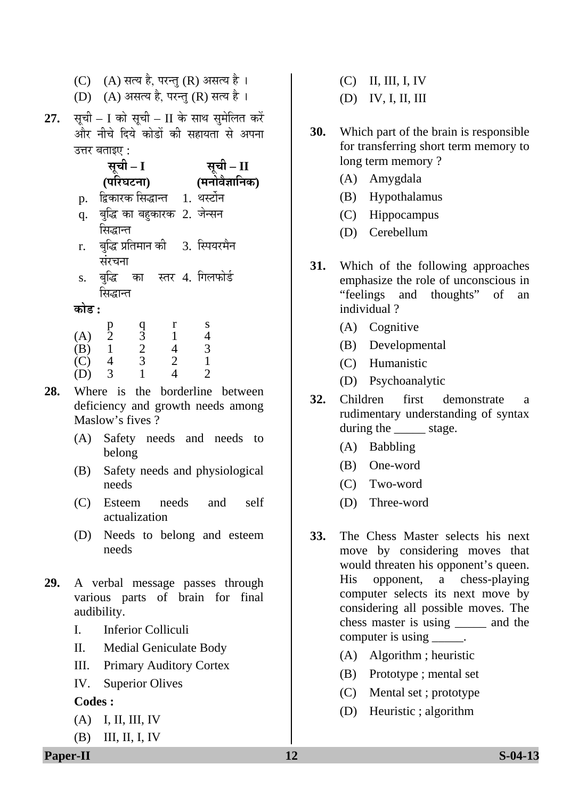- (C)  $(A)$  सत्य है, परन्तु (R) असत्य है।
- (D) (A) असत्य है, परन्तु (R) सत्य है।
- 27. सृची I को सृची II के साथ सुमेलित करें और नीचे दिये कोडों की सहायता से अपना उत्तर बताइए:

|    | सूची – I                             | सूची – II      |
|----|--------------------------------------|----------------|
|    | (परिघटना)                            | (मनोवैज्ञानिक) |
| p. | द्विकारक सिद्धान्त 1. थर्स्टोन       |                |
| q. | बुद्धि का बहुकारक 2. जेन्सन          |                |
|    | सिद्धान्त                            |                |
| r. | बुद्धि प्रतिमान की     3.  स्पियरमैन |                |
|    | संरचना                               |                |
| S. | बुद्धि का स्तर 4. गिलफोर्ड           |                |
|    | सिद्धान्त                            |                |
|    |                                      |                |

|     | p              | a |                             |   |
|-----|----------------|---|-----------------------------|---|
| (A) | $\overline{2}$ | 3 |                             | 4 |
| (B) |                | 2 |                             | 3 |
| (C) |                | 3 | $\mathcal{D}_{\mathcal{A}}$ |   |
| (D) |                |   |                             |   |

- 28. Where is the borderline between deficiency and growth needs among Maslow's fives?
	- (A) Safety needs and needs to belong
	- (B) Safety needs and physiological needs
	- (C) Esteem needs and self actualization
	- (D) Needs to belong and esteem needs
- **29.** A verbal message passes through various parts of brain for final audibility.
	- I. Inferior Colliculi
	- II. Medial Geniculate Body
	- III. Primary Auditory Cortex
	- IV. Superior Olives

- (A) I, II, III, IV
- (B) III, II, I, IV
- (C) II, III, I, IV
- (D) IV, I, II, III
- **30.** Which part of the brain is responsible for transferring short term memory to long term memory ?
	- (A) Amygdala
	- (B) Hypothalamus
	- (C) Hippocampus
	- (D) Cerebellum
- **31.** Which of the following approaches emphasize the role of unconscious in "feelings and thoughts" of an individual ?
	- (A) Cognitive
	- (B) Developmental
	- (C) Humanistic
	- (D) Psychoanalytic
- **32.** Children first demonstrate a rudimentary understanding of syntax during the <u>equal</u> stage.
	- (A) Babbling
	- (B) One-word
	- (C) Two-word
	- D( ) Three-word
- **33.** The Chess Master selects his next move by considering moves that would threaten his opponent's queen. His opponent, a chess-playing computer selects its next move by considering all possible moves. The chess master is using \_\_\_\_\_ and the computer is using \_\_\_\_\_.
	- (A) Algorithm ; heuristic
	- (B) Prototype ; mental set
	- (C) Mental set ; prototype
	- (D) Heuristic ; algorithm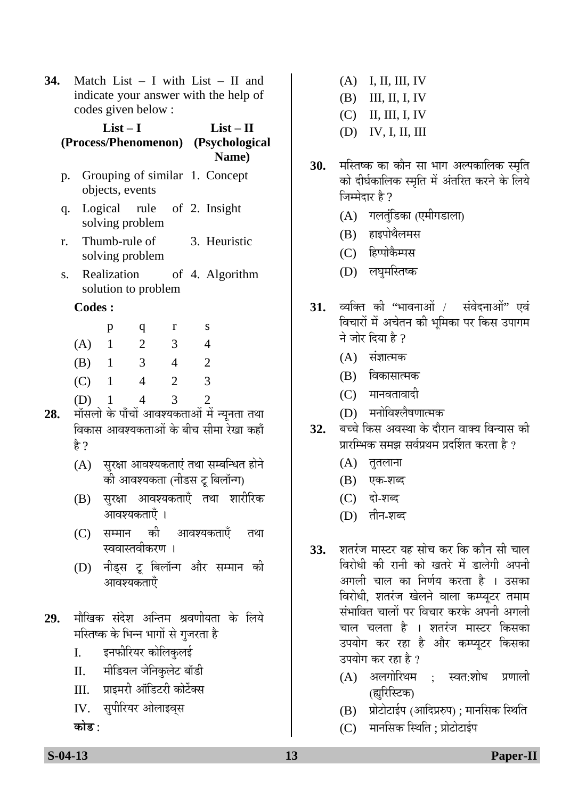**34.** Match List – I with List – II and indicate your answer with the help of codes giv en below :

#### **List – I s/Phenomenon) (Psycholog (Proces ical List – II Name)**

- p. Grouping of similar 1. Concept objects, events
- q. Logical rule of 2. Insight solving problem
- r. Thu mb-rule of solving problem 3. Heuristic
- s. Realization solution to problem 4. Algorithm

#### **Codes :**

|     | р | q | r | S                                                                                                                                                               |
|-----|---|---|---|-----------------------------------------------------------------------------------------------------------------------------------------------------------------|
| (A) |   | 2 | 3 | 4                                                                                                                                                               |
| (B) |   | 3 | 4 | 2                                                                                                                                                               |
| (C) | 1 | 4 | 2 | 3                                                                                                                                                               |
| (D) |   | 4 | 3 | $\mathcal{D}_{\mathcal{A}}^{\mathcal{A}}(\mathcal{A})=\mathcal{D}_{\mathcal{A}}^{\mathcal{A}}(\mathcal{A})\mathcal{D}_{\mathcal{A}}^{\mathcal{A}}(\mathcal{A})$ |

- **28.** मॉसलो के पाँचों आवश्यकताओं में न्यूनता तथा विकास आवश्यकताओं के बीच सीमा रेखा कहाँ हे ?
	- $(A)$  सरक्षा आवश्यकताएं तथा सम्बन्धित होने ्को आवश्यकता (नीडस ट बिलॉन्ग)
	- (B) सुरक्षा आवश्यकताएँ तथा शारीरिक आवश्यकताएँ ।
	- (C) सम्मान की आवश्यकताएँ तथा स्ववास्तवीकरण ।
	- (D) नीड्स टू बिलॉन्ग और सम्मान की आवश्यकताएँ
- 29. मौखिक संदेश अन्तिम श्रवणीयता के लिये मस्तिष्क के भिन्न भागों से गुजरता है
	- I. इनफीरियर कोलिकुलई
	- II. मीडियल जेनिकुलेट बॉडी
	- III. प्राइमरी ऑडिटरी कोर्टेक्स
	- IV. सुपीरियर ओलाइव्स

<u>कोड :</u>

- (A) I, II, III, IV
- $(B)$  III, II, I, IV
- $(C)$  II, III, I, IV
- (D) IV, I, II, III
- **30.** मस्तिष्क का कौन सा भाग अल्पकालिक स्मृति को दीर्घकालिक स्मृति में अंतरित करने के लिये जिम्मेदार है ?
	- (A) गलतुंडिका (एमीगडाला)
	- (B) हाइपोथैलमस
	- (C) हिप्पोकैम्पस
	- (D) लघुमस्तिष्क
- 31. व्यक्ति की "भावनाओं / संवेदनाओं" एवं विचारों में अचेतन की भूमिका पर किस उपागम ने जोर दिया है  $\theta$ 
	- $(A)$  संज्ञात्मक
	- (B) विकासात्मक
	- $(C)$  मानवतावादी
	- (D) मनोविश्लैषणात्मक
- 32. बच्चे किस अवस्था के दौरान वाक्य विन्यास की प्रारम्भिक समझ सर्वप्रथम प्रदर्शित करता है ?
	- $(A)$  तुतलाना
	- (B) एक-शब्द
	- (C) दो-शब्द
	- (D) तीन-शब्द
- **33.** शतरंज मास्टर यह सोच कर कि कौन सी चाल <u>विरोधी की रानी को खतरे में डालेगी अपनी</u> अगली चाल का निर्णय करता है । उसका विरोधी, शतरंज खेलने वाला कम्प्युटर तमाम संभावित चालों पर विचार करके अपनी अगली चाल चलता है । शतरंज मास्टर किसका उपयोग कर रहा है और कम्प्युटर किसका उपयोग कर रहा है ?
	- $(A)$  अलगोरिथम : स्वत:शोध प्रणाली (ह्यरिस्टिक)
	- (B) प्रोटोटाईप (आदिप्ररुप) ; मानसिक स्थिति
	- (C) मानसिक स्थिति; प्रोटोटाईप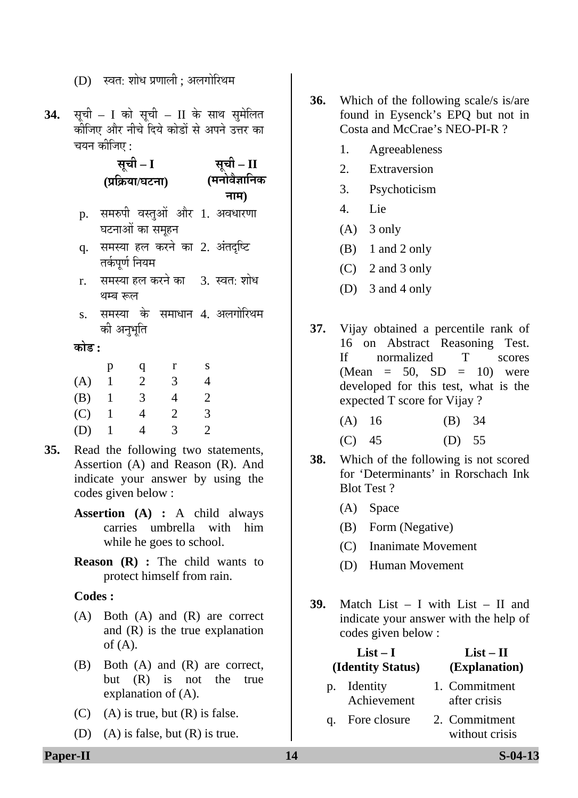34. सूची – I को सूची – II के साथ सुमेलित कीजिए और नीचे दिये कोडों से अपने उत्तर का चयन कीजिए :

> **– II**  नाम) **ÃÖæ"Öß – I ÃÖæ"Öß (¯ÖÏ×ÛÎúµÖÖ/'Ö™ü®ÖÖ) (´Ö®ÖÖê¾Öî–ÖÖ×®ÖÛú**

- p. समरुपी वस्तुओं और 1. अवधारणा घटनाओं का समूहन
- q. समस्या हल करने का 2. अंतदृष्टि तर्कपर्ण नियम
- r. समस्या हल करने का 3. स्वत: शोध थम्ब रूल
- s. समस्या के समाधान 4. अलगोरिथ<mark>म</mark> की अनुभूति

#### **कोड :**

|     | р | q | r | S |
|-----|---|---|---|---|
| (A) |   | 2 | 3 | 4 |
| (B) |   | 3 | 4 | 2 |
| (C) |   | 4 | 2 | 3 |
| (D) |   | 4 | 3 | 2 |

- **35.** Read the following two statements, Assertion (A) and Reason (R). And indicate your answer by using the codes given below :
	- **Assertion (A) :** A child always carries umbrella with him while he goes to school.
	- **Reason (R) :** The child wants to protect himself from rain.

#### **Codes :**

- (A) Both (A) and (R) are correct and (R) is the true explanation of  $(A)$ .
- (B) Both (A) and (R) are correct, but (R) is not the true explanation of (A).
- (C) (A) is true, but  $(R)$  is false.
- (D) (A) is false, but  $(R)$  is true.
- **36.** Which of the following scale/s is/are found in Eysenck's EPQ but not in Costa and McCrae's NEO-PI-R ?
	- 1. Agreeableness
	- 2. Extraversion
	- 3. Psychoticism
	- 4. Lie
	- $(A)$  3 only
	- $(B)$  1 and 2 only
	- (C) 2 and 3 only
	- (D) 3 and 4 only
- **37.** Vijay obtained a percentile rank of 16 on Abstract Reasoning Test. If normalized T scores  $(Mean = 50, SD = 10)$  were developed for this test, what is the expected T score for Vijay ?

| $(A)$ 16 | $(B)$ 34 |  |
|----------|----------|--|
| $(C)$ 45 | (D) 55   |  |

- **38.** Which of the following is not scored for 'Determinants' in Rorschach Ink Blot Test ?
	- (A) Space
	- (B) Form (Negative)
	- (C) Inanimate Movement
	- (D) Human Movement
- **39.** Match List I with List II and indicate your answer with the help of codes given below :

| $List-I$          | $List - II$                   |
|-------------------|-------------------------------|
| (Identity Status) | (Explanation)                 |
| p. Identity       | 1. Commitment<br>after crisis |
| Achievement       |                               |
| 17. 1.            |                               |

q. Fore without crisis 2. Commitment

 $(D)$  स्वत: शोध प्रणाली : अलगोरिथम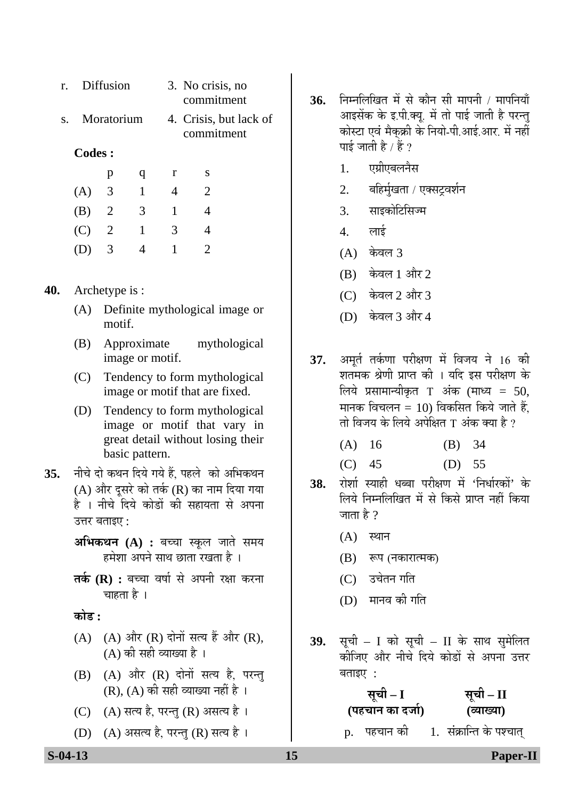| r.  | Diffusion  |              |   | 3. No crisis, no<br>commitment |                        |
|-----|------------|--------------|---|--------------------------------|------------------------|
| S.  | Moratorium |              |   | commitment                     | 4. Crisis, but lack of |
|     | Codes :    |              |   |                                |                        |
|     | p          | q            | r | S                              |                        |
| (A) | 3          | $\mathbf{1}$ | 4 | 2                              |                        |
| (B) | 2          | 3            | 1 |                                |                        |
| (C) | 2          | 1            | 3 |                                |                        |
|     | 3          |              |   | $\mathcal{D}_{\mathcal{L}}$    |                        |
|     |            |              |   |                                |                        |

#### **40.** Archetype is :

- (A) Definite mythological image or motif.
- (B) Approximate mythological image or motif.
- (C) Tendency to form mythological image or motif that are fixed.
- (D) Tendency to form mythological image or motif that vary in great detail without losing their basic pattern.
- 35. नीचे दो कथन दिये गये हैं, पहले को अभिकथन (A) और दूसरे को तर्क (R) का नाम दिया गया है । नीचे दिये कोडों की सहायता से अपना उत्तर बताइए:
	- **अभिकथन (A) :** बच्चा स्कूल जाते समय हमेशा अपने साथ छाता रखता है ।
	- **तर्क (R) :** बच्चा वर्षा से अपनी रक्षा करना चाहता है ।

<u>कोड :</u>

- (A)  $(A)$  और  $(R)$  दोनों सत्य हैं और  $(R)$ ,  $(A)$  की सही व्याख्या है ।
- $(B)$   $(A)$  और  $(R)$  दोनों सत्य है, परन्तु  $(R)$ ,  $(A)$  की सही व्याख्या नहीं है।
- (C)  $(A)$  सत्य है, परन्तु (R) असत्य है।
- (D) (A) असत्य है, परन्तु (R) सत्य है।
- 36. FED FED FREED THE REAL THE THEFT THE THEFT THE SET OF THE SET OF THE SET OF THE SET OF THE SET OF THE SET O आइसेंक के इ.पी.क्यू. में तो पाई जाती है परन्तु कोस्टा एवं मैकुक्री के नियो-पी.आई.आर. में नहीं पाई जाती है / हैं ?
	- 1. एग्रीएबलनैस
	- 2. बहिर्मुखता / एक्सट्रवर्शन
	- 3. साइकोटिसिज्म
	- $4.$  लाई
	- $(A)$  केवल 3
	- $(B)$  केवल 1 और 2
	- (C) केवल 2 और 3
	- (D) केवल 3 और 4
- 37. अमर्त तर्कणा परीक्षण में विजय ने 16 की शतमक श्रेणी प्राप्त की । यदि इस परीक्षण के लिये प्रसामान्यीकृत T अंक (माध्य = 50, मानक विचलन = 10) विकसित किये जाते हैं. तो विजय के लिये अपेक्षित T अंक क्या है ?
	- $(A)$  16  $(B)$  34
	- (C) 45 (D) 55
- 38. रोशो स्याही धब्बा परीक्षण में 'निर्धारकों' के लिये निम्नलिखित में से किसे प्राप्त नहीं किया जाता है  $?$ 
	- $(A)$  स्थान
	- (B) रूप (नकारात्मक)
	- (C) उचेतन गति
	- (D) मानव की गति
- 39. सूची I को सूची II के साथ सुमेलित कोजिए और नीचे दिये कोड़ों से अपना उत्तर  $\overline{q}$  added :
	- <u>सूची I</u> **(¯ÖÆü"ÖÖ®Ö ÛúÖ ¤ü•ÖÖÔ)**  <u>सूची – II</u> **(¾µÖÖܵÖÖ)**
	- p. पहचान को 1. संक्रान्ति के पश्चात्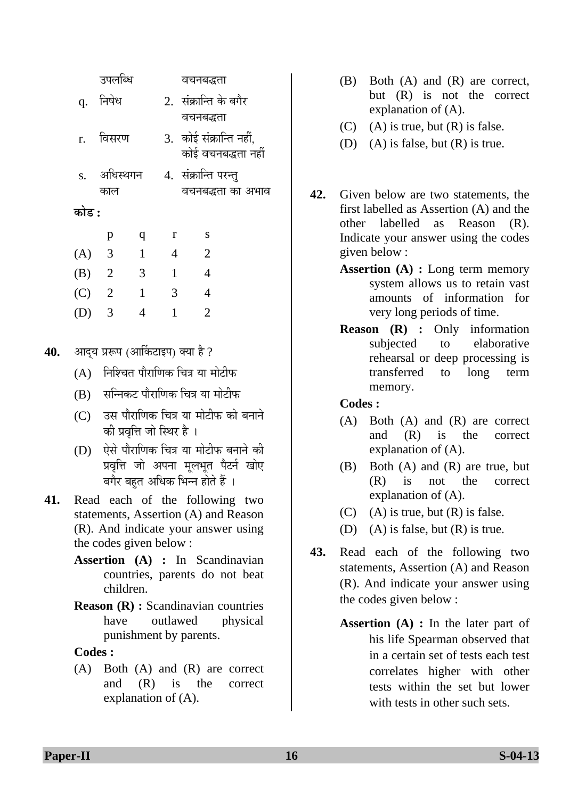|       | उपलब्धि                    |              |              | वचनबद्धता                                     |  |
|-------|----------------------------|--------------|--------------|-----------------------------------------------|--|
|       | q. निषेध                   |              |              | 2. संक्रान्ति के बगैर<br>वचनबद्धता            |  |
|       | r. विसरण                   |              |              | 3. कोई संक्रान्ति नहीं,<br>कोई वचनबद्धता नहीं |  |
|       | s. अधिस्थगन<br>काल         |              |              | 4.  संक्रान्ति परन्तु<br>वचनबद्धता का अभाव    |  |
| कोड : |                            |              |              |                                               |  |
|       | p                          | q            | r            | S                                             |  |
| (A)   | 3                          | $\mathbf{1}$ | 4            | $\overline{2}$                                |  |
| (B)   | 2                          | 3            | $\mathbf{1}$ | $\overline{4}$                                |  |
| (C)   | $\overline{\phantom{a}}$ 2 | 1            | 3            | $\overline{4}$                                |  |
|       | 3                          | 4            | 1            | 2                                             |  |
|       |                            |              |              |                                               |  |

- 40. आदय प्ररूप (आर्किटाइप) क्या है ?
	- $(A)$  निश्चित पौराणिक चित्र या मोटीफ
	- $(B)$  सन्निकट पौराणिक चित्र या मोटीफ
	- $(C)$  उस पौराणिक चित्र या मोटीफ को बनाने को प्रवृत्ति जो स्थिर है ।
	- (D) ऐसे पौराणिक चित्र या मोटीफ बनाने की प्रवृत्ति जो अपना मृलभृत पैटर्न खोए बगैर बहुत अधिक भिन्न होते हैं ।
- **41.** Read each of the following two statements, Assertion (A) and Reason (R). And indicate your answer using the codes given below :
	- **Assertion (A) :** In Scandinavian countries, parents do not beat children.
	- **Reason (R) :** Scandinavian countries have outlawed physical punishment by parents.

 (A) Both (A) and (R) are correct and (R) is the correct explanation of (A).

- (B) Both (A) and (R) are correct, but (R) is not the correct explanation of (A).
- $(C)$  (A) is true, but  $(R)$  is false.
- (D) (A) is false, but  $(R)$  is true.
- **42.** Given below are two statements, the first labelled as Assertion (A) and the other labelled as Reason (R). Indicate your answer using the codes given below :
	- **Assertion (A) :** Long term memory system allows us to retain vast amounts of information for very long periods of time.
	- **Reason (R) :** Only information subjected to elaborative rehearsal or deep processing is transferred to long term memory.

- (A) Both (A) and (R) are correct and (R) is the correct explanation of (A).
- (B) Both (A) and (R) are true, but (R) is not the correct explanation of (A).
- $(C)$  (A) is true, but  $(R)$  is false.
- (D) (A) is false, but  $(R)$  is true.
- **43.** Read each of the following two statements, Assertion (A) and Reason (R). And indicate your answer using the codes given below :
	- **Assertion (A) :** In the later part of his life Spearman observed that in a certain set of tests each test correlates higher with other tests within the set but lower with tests in other such sets.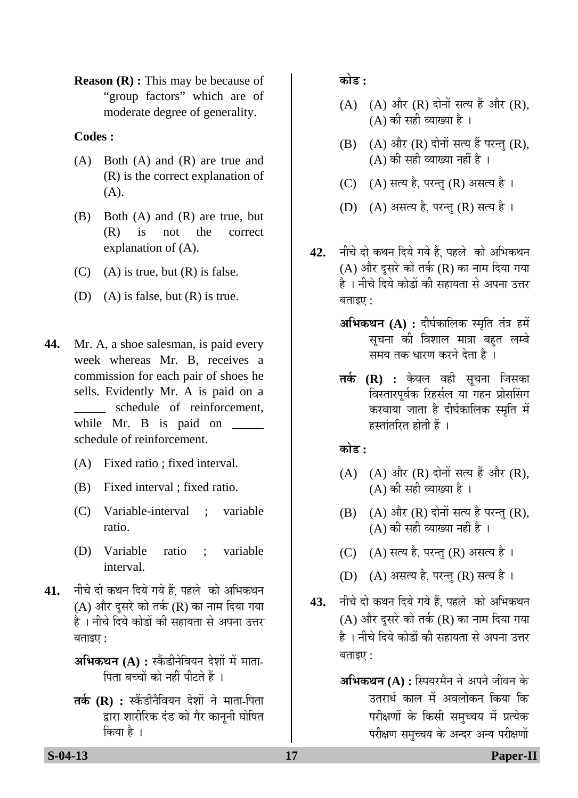**Reason (R) :** This may be because of "group factors" which are of moderate degree of generality.

#### **Codes :**

- (A) Both (A) and (R) are true and (R) is the correct explanation of (A).
- $(B)$  Both  $(A)$  and  $(R)$  are true, but (R) is not the correct explanation of (A).
- $(C)$  (A) is true, but  $(R)$  is false.
- (D) (A) is false, but  $(R)$  is true.
- **44.** Mr. A, a shoe salesman, is paid every week whereas Mr. B, receives a commission for each pair of shoes he sells. Evidently Mr. A is paid on a schedule of reinforcement, while Mr. B is paid on \_\_\_\_\_\_\_ schedule of reinforcement.
	- (A) Fixed ratio ; fixed interval.
	- (B) Fixed interval ; fixed ratio.
	- (C) Variable-interval ; variable ratio.
	- (D) Variable ratio ; variable interval.
- 41. नीचे दो कथन दिये गये हैं. पहले को अभिकथन  $(A)$  और दूसरे को तर्क  $(R)$  का नाम दिया गया है । नीचे दिये कोडों की सहायता से अपना उत्तर बताइए $:$ 
	- **अभिकथन (A) :** स्केंडीनेवियन देशों में माता-<u>पिता बच्चों को नहीं पीटते हैं ।</u>
	- **तर्क (R) :** स्कैंडीनैवियन देशों ने माता-पिता द्वारा शारीरिक दंड को गैर कानूनी घोषित किया है ।

<u>कोड़ :</u>

- $(A)$   $(A)$  और  $(R)$  दोनों सत्य हैं और  $(R)$ ,  $(A)$  की सही व्याख्या है।
- $(B)$   $(A)$  और  $(R)$  दोनों सत्य हैं परन्तु  $(R)$ ,  $(A)$  की सही व्याख्या नहीं है ।
- $(C)$   $(A)$  सत्य है. परन्त  $(R)$  असत्य है ।
- (D) (A) असत्य है, परन्तु (R) सत्य है।
- 42. नीचे दो कथन दिये गये हैं. पहले को अभिकथन (A) और दूसरे को तर्क (R) का नाम दिया गया है । नीचे दिये कोडों की सहायता से अपना उत्तर  $\overline{q}$ ताइए $\cdot$ 
	- $\mathbf{M}\mathbf{\hat{H}}$ कथन (A) : दीर्घकालिक स्मृति तंत्र हमें सचना की विशाल मात्रा बहत लम्बे ्<br>समय तक धारण करने देता है ।
	- **तर्क (R) :** केवल वही सूचना जिसका विस्तारपूर्वक रिहर्सल या गहन प्रोससिंग करवाया जाता है दीर्घकालिक स्मृति में  $\overline{\phantom{a}}$ हस्तांतरित होती हैं ।

#### <u>कोड़ :</u>

- $(A)$   $(A)$  और  $(R)$  दोनों सत्य हैं और  $(R)$ ,  $(A)$  की सही व्याख्या है।
- $(B)$   $(A)$  और  $(R)$  दोनों सत्य है परन्तु  $(R)$ ,  $(A)$  की सही व्याख्या नहीं है।
- (C)  $(A)$  सत्य है, परन्तु (R) असत्य है।
- (D)  $(A)$  असत्य है, परन्तु (R) सत्य है।
- 43. नीचे दो कथन दिये गये हैं, पहले को अभिकथन (A) और दूसरे को तर्क (R) का नाम दिया गया है । नीचे दिये कोडों की सहायता से अपना उत्तर  $\overline{q}$ ताइए $\overline{q}$ :
	- **अभिकथन (A) :** स्पियरमैन ने अपने जीवन के उतरार्ध काल में अवलोकन किया कि परीक्षणों के किसी समच्चय में प्रत्येक परीक्षण समुच्चय के अन्दर अन्य परीक्षणों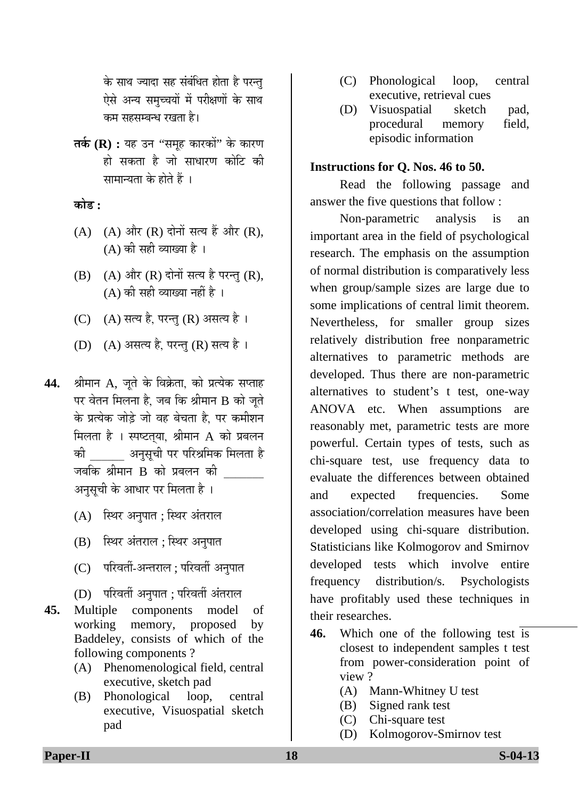के साथ ज्यादा सह संबंधित होता है परन्तु ऐसे अन्य समुच्चयों में परीक्षणों के साथ कम सहसम्बन्ध रखता है।

**तर्क (R) :** यह उन ''समह कारकों'' के कारण हो सकता है जो साधारण कोटि की सामान्यता के होते हैं ।

<u>कोड़ :</u>

- $(A)$   $(A)$  और  $(R)$  दोनों सत्य हैं और  $(R)$ ,  $(A)$  की सही व्याख्या है।
- $(B)$   $(A)$  और  $(R)$  दोनों सत्य है परन्त  $(R)$ ,  $(A)$  की सही व्याख्या नहीं है ।
- (C) (A) सत्य है, परन्तु (R) असत्य है।
- (D) (A) असत्य है, परन्तु (R) सत्य है।
- 44. श्रीमान A, जुते के विक्रेता, को प्रत्येक सप्ताह पर वेतन मिलना है, जब कि श्रीमान B को जुते के प्रत्येक जोड़े जो वह बेचता है. पर कमीशन मिलता है । स्पष्टतया, श्रीमान  $A$  को प्रबलन की व्यानुसूची पर परिश्रमिक मिलता है जबकि श्रीमान B को प्रबलन की अनुसूची के आधार पर मिलता है ।
	- (A) स्थिर अनुपात ; स्थिर अंतराल
	- (B) स्थिर अंतराल; स्थिर अनुपात
	- (C) परिवर्ती-अन्तराल ; परिवर्ती अनुपात
	- (D) परिवर्ती अनुपात ; परिवर्ती अंतराल
- **45.** Multiple components model of working memory, proposed by Baddeley, consists of which of the following components ?
	- (A) Phenomenological field, central executive, sketch pad
	- (B) Phonological loop, central executive, Visuospatial sketch pad
- (C) Phonological loop, central executive, retrieval cues
- (D) Visuospatial sketch pad, procedural memory field, episodic information

#### **Instructions for Q. Nos. 46 to 50.**

Read the following passage and answer the five questions that follow :

 Non-parametric analysis is an important area in the field of psychological research. The emphasis on the assumption of normal distribution is comparatively less when group/sample sizes are large due to some implications of central limit theorem. Nevertheless, for smaller group sizes relatively distribution free nonparametric alternatives to parametric methods are developed. Thus there are non-parametric alternatives to student's t test, one-way ANOVA etc. When assumptions are reasonably met, parametric tests are more powerful. Certain types of tests, such as chi-square test, use frequency data to evaluate the differences between obtained and expected frequencies. Some association/correlation measures have been developed using chi-square distribution. Statisticians like Kolmogorov and Smirnov developed tests which involve entire frequency distribution/s. Psychologists have profitably used these techniques in their researches.

- **46.** Which one of the following test is closest to independent samples t test from power-consideration point of view ?
	- (A) Mann-Whitney U test
	- (B) Signed rank test
	- (C) Chi-square test
	- (D) Kolmogorov-Smirnov test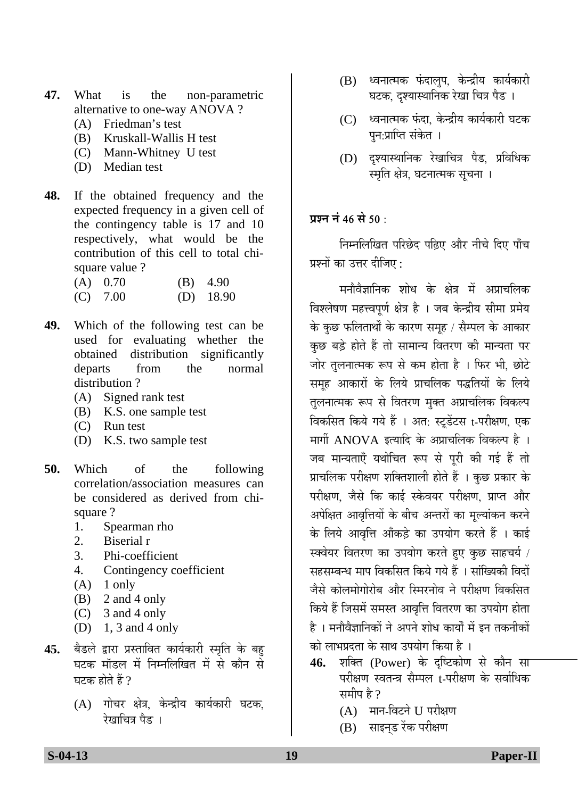- **47.** What is the non-parametric alternative to one-way ANOVA ?
	- (A) Friedman's test
	- (B) Kruskall-Wallis H test
	- (C) Mann-Whitney U test
	- (D) Median test
- **48.** If the obtained frequency and the expected frequency in a given cell of the contingency table is 17 and 10 respectively, what would be the contribution of this cell to total chisquare value ?

| $(A)$ 0.70 | $(B)$ 4.90  |
|------------|-------------|
| $(C)$ 7.00 | $(D)$ 18.90 |

- **49.** Which of the following test can be used for evaluating whether the obtained distribution significantly departs from the normal distribution ?
	- (A) Signed rank test
	- (B) K.S. one sample test
	- (C) Run test
	- (D) K.S. two sample test
- **50.** Which of the following correlation/association measures can be considered as derived from chisquare ?
	- 1. Spearman rho
	- 2. Biserial r
	- 3. Phi-coefficient
	- 4. Contingency coefficient
	- $(A)$  1 only
	- (B) 2 and 4 only
	- (C) 3 and 4 only
	- (D) 1, 3 and 4 only
- 45. बैडले द्वारा प्रस्तावित कार्यकारी स्मृति के बह घटक मॉडल में निम्नलिखित में से कौन से घटक होते हैं ?
	- (A) गोचर क्षेत्र, केन्द्रीय कार्यकारी घटक, रेखाचित्र पैद ।
- (B) ध्वनात्मक फंदालुप, केन्द्रीय कार्यकारी घटक, दश्यास्थानिक रेखा चित्र पैड ।
- $(C)$  ध्वनात्मक फंदा. केन्द्रीय कार्यकारी घटक पन:प्राप्ति संकेत ।
- (D) दृश्यास्थानिक रेखाचित्र पैड, प्रविधिक स्मृति क्षेत्र. घटनात्मक सचना ।

## **प्र**ञ्च नं 46 से 50 ·

निम्नलिखित परिछेद पढ़िए और नीचे दिए पाँच प्रश्नों का उत्तर दीजिए  $\cdot$ 

मनौवैज्ञानिक शोध के क्षेत्र में अप्राचलिक विश्लेषण महत्त्वपर्ण क्षेत्र है । जब केन्द्रीय सीमा प्रमेय के कुछ फलिताथों के कारण समूह / सैम्पल के आकार कुछ बड़े होते हैं तो सामान्य वितरण की मान्यता पर जोर तुलनात्मक रूप से कम होता है । फिर भी, छोटे समूह आकारों के लिये प्राचलिक पद्धतियों के लिये तुलनात्मक रूप से वितरण मुक्त अप्राचलिक विकल्प विकसित किये गये हैं । अत: स्टूडेंटस t-परीक्षण, एक मार्गी ANOVA इत्यादि के अप्राचलिक विकल्प है। जब मान्यताएँ यथोचित रूप से परी की गई हैं तो प्राचलिक परीक्षण शक्तिशाली होते हैं । कुछ प्रकार के परीक्षण, जैसे कि काई स्केवयर परीक्षण, प्राप्त और अपेक्षित आवृत्तियों के बीच अन्तरों का मुल्यांकन करने के लिये आवृत्ति आँकड़े का उपयोग करते हैं । काई स्क्वेयर वितरण का उपयोग करते हुए कुछ साहचर्य / सहसम्बन्ध माप विकसित किये गये हैं । सांख्यिकी विदों जैसे कोलमोगोरोब और स्मिरनोव ने परीक्षण विकसित किये हैं जिसमें समस्त आवृत्ति वितरण का उपयोग होता है । मनौवैज्ञानिकों ने अपने शोध कार्यों में इन तकनीकों <u>को लाभप्रदता के साथ उपयोग किया है</u> ।

- 46. शक्ति (Power) के दृष्टिकोण से कौन सा परीक्षण स्वतन्त्र सैम्पल t-परीक्षण के सर्वाधिक ਸ਼ਸ਼ੀਧ ਫ਼ੈ $\theta$ 
	- $(A)$  मान-विटने  $\Pi$  परीक्षण
	- (B) साइनड रेंक परीक्षण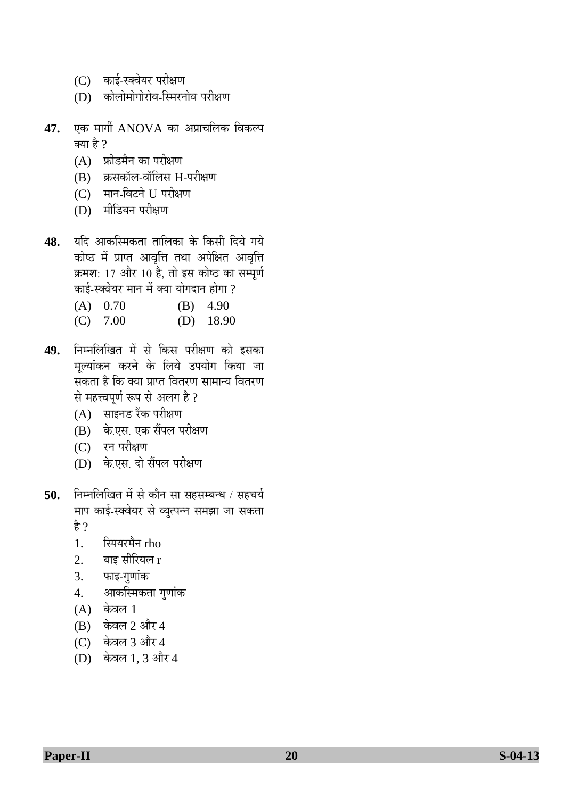- (C) काई-स्क्वेयर परीक्षण
- (D) कोलोमोगोरोव-स्मिरनोव परीक्षण
- **47.** एक मार्गी ANOVA का अप्राचलिक विकल्प क्या है ?
	- $(A)$  फ्रीडमैन का परीक्षण
	- $(B)$  क्रसकॉल-वॉलिस H-परीक्षण
	- (C) मान-विटने U परीक्षण
	- $(D)$  मीडियन परीक्षण
- 48. यदि आकस्मिकता तालिका के किसी दिये गये कोष्ठ में प्राप्त आवृत्ति तथा अपेक्षित आवृत्ति क्रमश: 17 और 10 है, तो इस कोष्ठ का सम्पूर्ण <u>काई-स्क्वेयर मान में क्या योगदान होगा ?</u>
	- (A) 0.70 (B) 4.90
	- (C) 7.00 (D) 18.90
- 49. निम्नलिखित में से किस परीक्षण को इसका मूल्यांकन करने के लिये उपयोग किया जा सकता है कि क्या प्राप्त वितरण सामान्य वितरण से महत्त्वपूर्ण रूप से अलग है ?
	- (A) साइनड रैंक परीक्षण
	- (B) के.एस. एक सैंपल परीक्षण
	- (C) रन परीक्षण
	- (D) के.एस. दो सैंपल परीक्षण
- 50. निम्नलिखित में से कौन सा सहसम्बन्ध / सहचर्य माप काई-स्क्वेयर से व्युत्पन्न समझा जा सकता है ?
	- 1. स्पियरमैन rho
	- $2.$  बाइ सीरियल  $r$
	- 3. फाइ-गुणांक
	- 4. आकस्मिकता गुणांक
	- $(A)$  केवल 1
	- $(B)$  केवल 2 और 4
	- (C) केवल 3 और 4
	- (D) केवल 1, 3 और 4